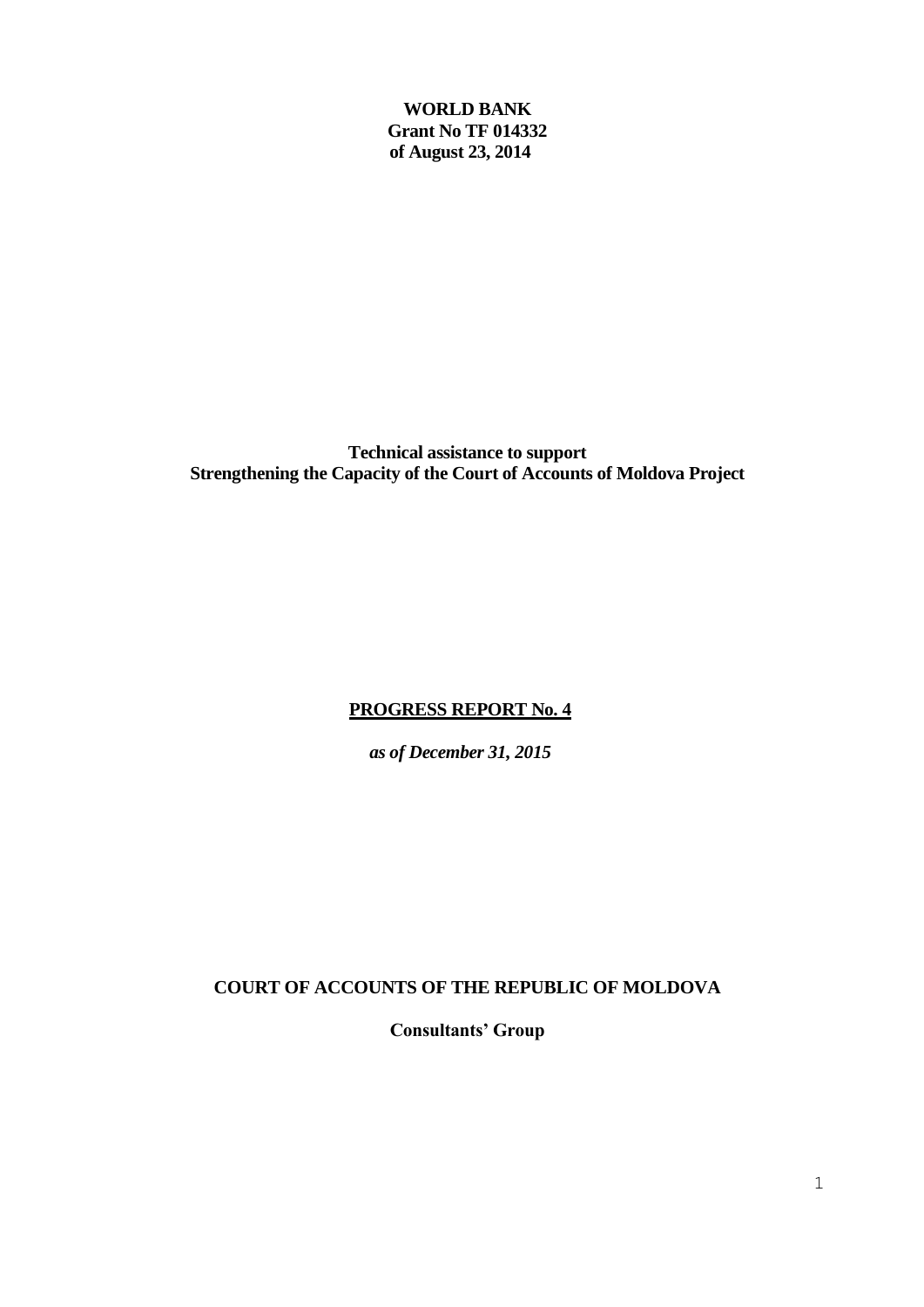**WORLD BANK Grant No TF 014332 of August 23, 2014**

**Technical assistance to support Strengthening the Capacity of the Court of Accounts of Moldova Project**

## **PROGRESS REPORT No. 4**

*as of December 31, 2015*

**COURT OF ACCOUNTS OF THE REPUBLIC OF MOLDOVA** 

**Consultants' Group**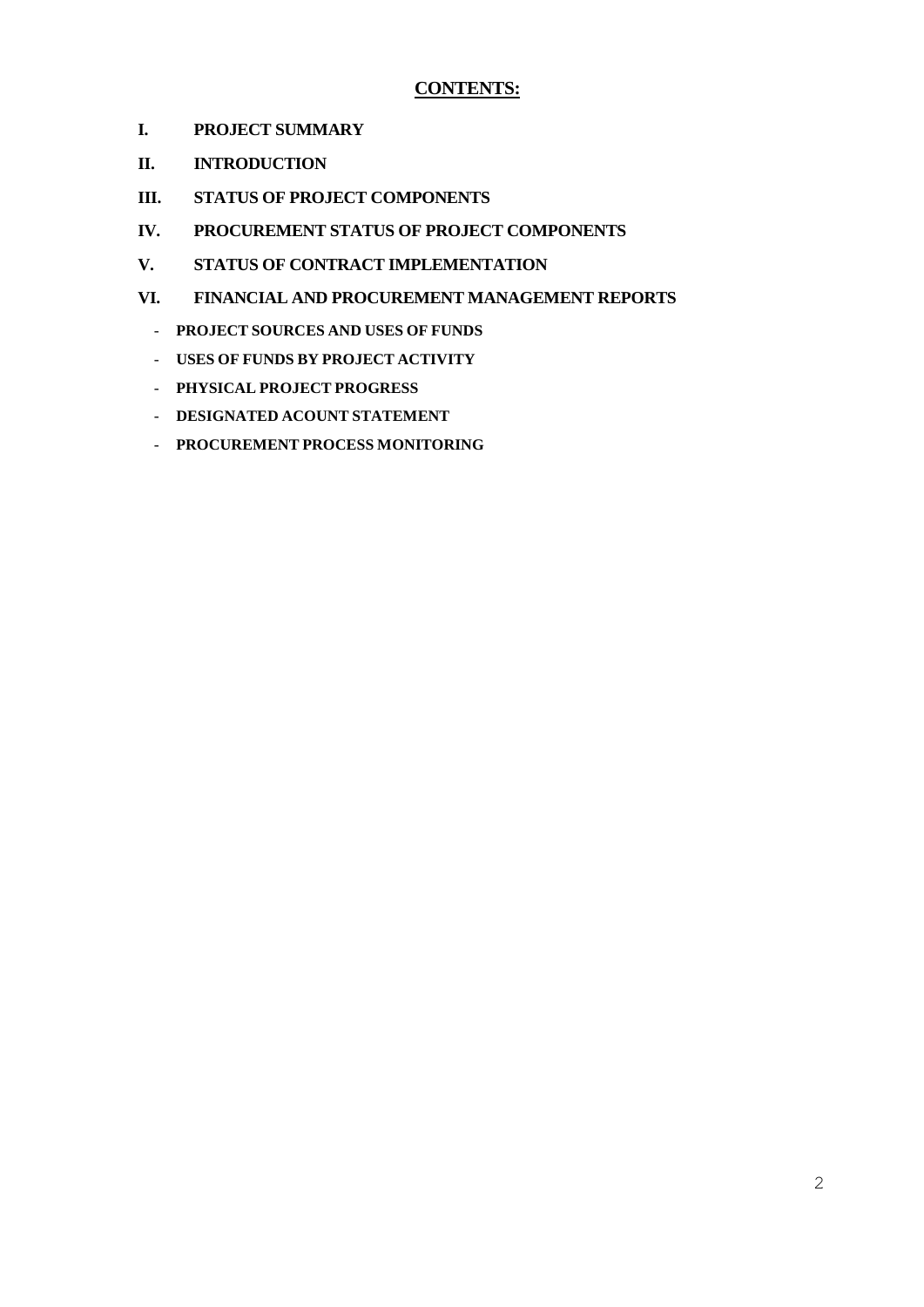## **CONTENTS:**

- **I. PROJECT SUMMARY**
- **II. INTRODUCTION**
- **III. STATUS OF PROJECT COMPONENTS**
- **IV. PROCUREMENT STATUS OF PROJECT COMPONENTS**
- **V. STATUS OF CONTRACT IMPLEMENTATION**
- **VI. FINANCIAL AND PROCUREMENT MANAGEMENT REPORTS**
	- **PROJECT SOURCES AND USES OF FUNDS**
	- **USES OF FUNDS BY PROJECT ACTIVITY**
	- **PHYSICAL PROJECT PROGRESS**
	- **DESIGNATED ACOUNT STATEMENT**
	- **PROCUREMENT PROCESS MONITORING**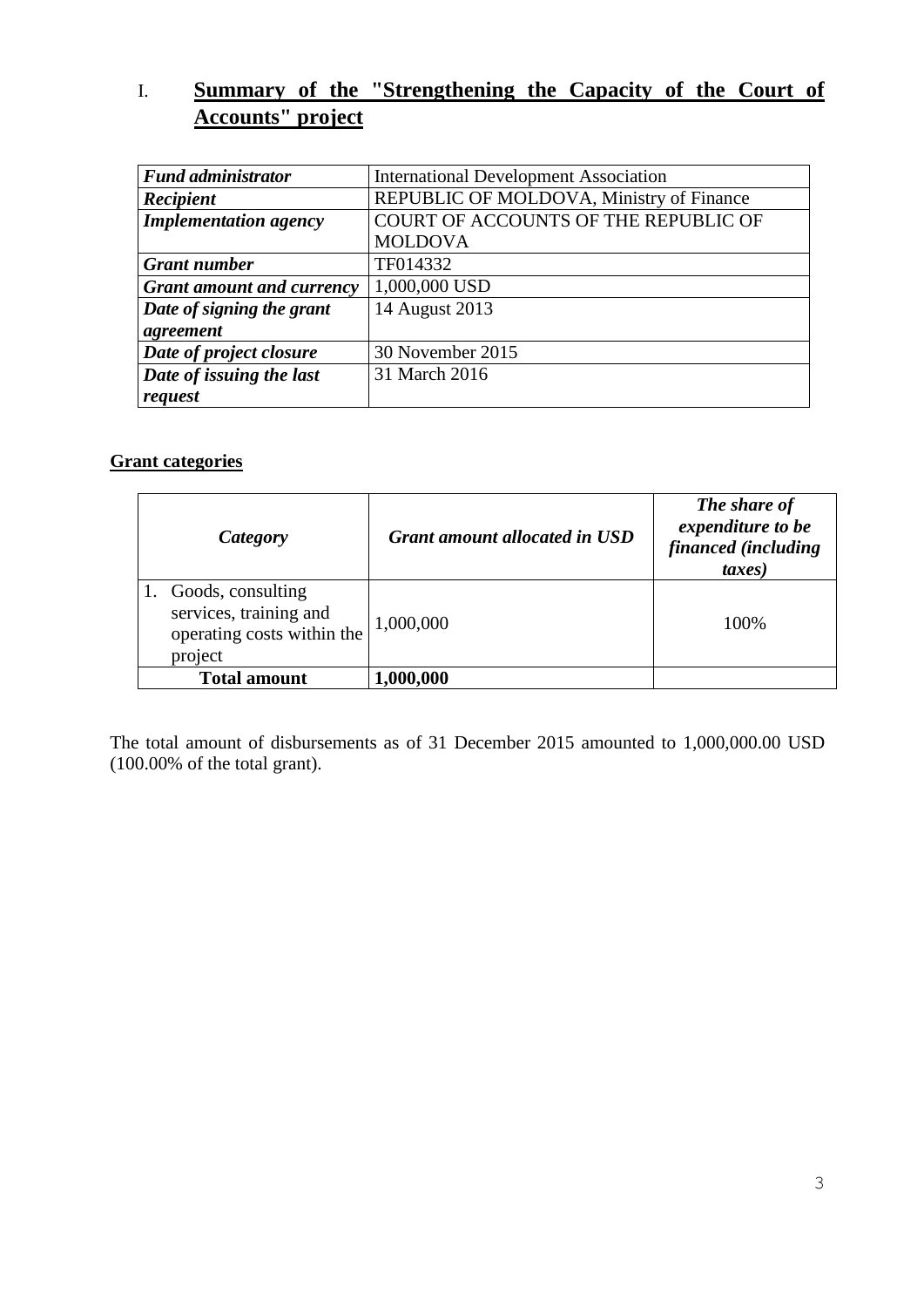# I. **Summary of the "Strengthening the Capacity of the Court of Accounts" project**

| <b>Fund administrator</b>        | <b>International Development Association</b> |
|----------------------------------|----------------------------------------------|
| Recipient                        | REPUBLIC OF MOLDOVA, Ministry of Finance     |
| <b>Implementation agency</b>     | COURT OF ACCOUNTS OF THE REPUBLIC OF         |
|                                  | <b>MOLDOVA</b>                               |
| <b>Grant number</b>              | TF014332                                     |
| <b>Grant amount and currency</b> | 1,000,000 USD                                |
| Date of signing the grant        | 14 August 2013                               |
| agreement                        |                                              |
| Date of project closure          | 30 November 2015                             |
| Date of issuing the last         | 31 March 2016                                |
| request                          |                                              |

## **Grant categories**

| Category                                                                             | <b>Grant amount allocated in USD</b> | The share of<br>expenditure to be<br>financed (including<br><i>taxes</i> ) |
|--------------------------------------------------------------------------------------|--------------------------------------|----------------------------------------------------------------------------|
| Goods, consulting<br>services, training and<br>operating costs within the<br>project | 1,000,000                            | 100\%                                                                      |
| <b>Total amount</b>                                                                  | 1,000,000                            |                                                                            |

The total amount of disbursements as of 31 December 2015 amounted to 1,000,000.00 USD (100.00% of the total grant).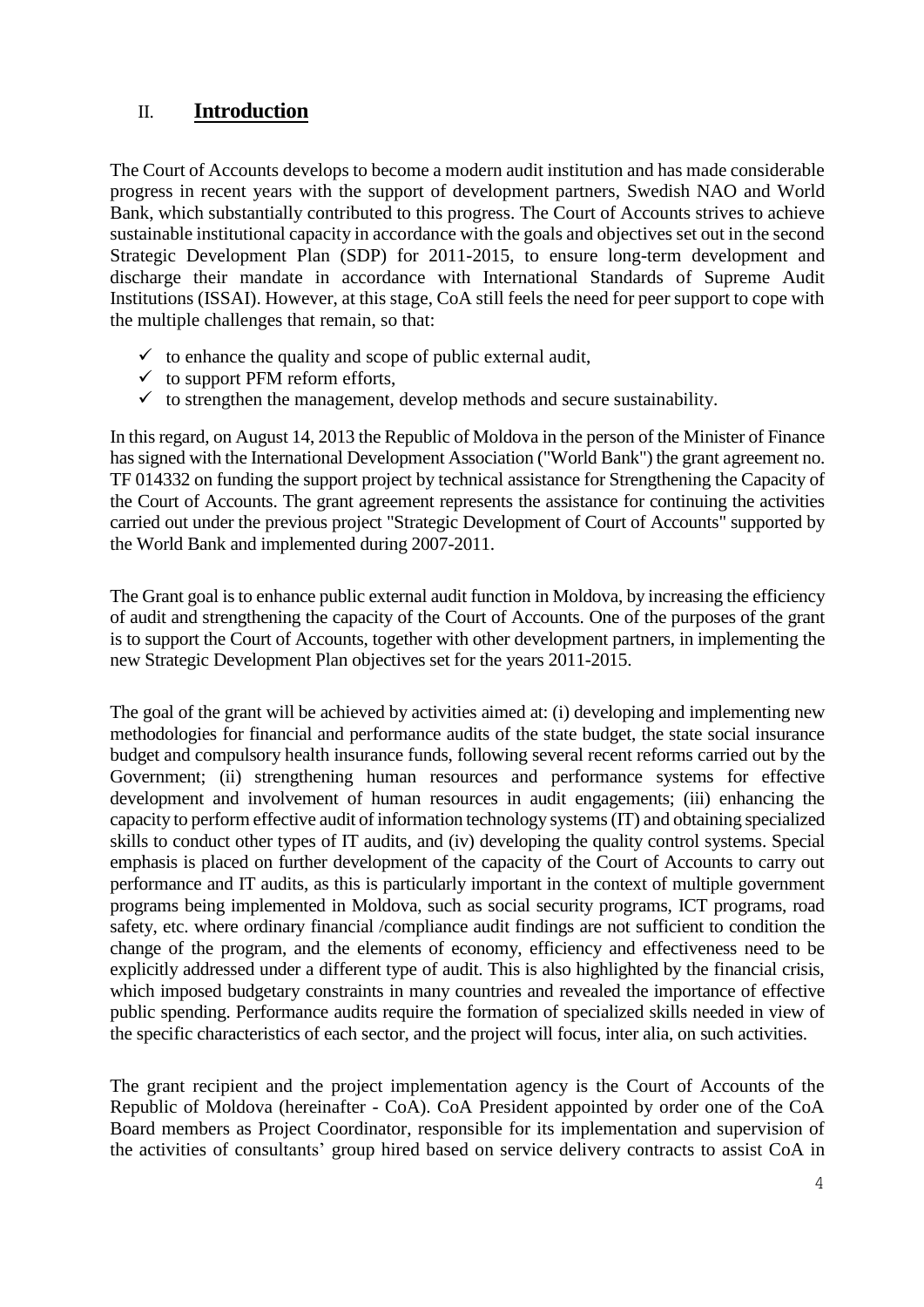## II. **Introduction**

The Court of Accounts develops to become a modern audit institution and has made considerable progress in recent years with the support of development partners, Swedish NAO and World Bank, which substantially contributed to this progress. The Court of Accounts strives to achieve sustainable institutional capacity in accordance with the goals and objectives set out in the second Strategic Development Plan (SDP) for 2011-2015, to ensure long-term development and discharge their mandate in accordance with International Standards of Supreme Audit Institutions (ISSAI). However, at this stage, CoA still feels the need for peer support to cope with the multiple challenges that remain, so that:

- $\checkmark$  to enhance the quality and scope of public external audit,
- $\checkmark$  to support PFM reform efforts,
- $\checkmark$  to strengthen the management, develop methods and secure sustainability.

In this regard, on August 14, 2013 the Republic of Moldova in the person of the Minister of Finance has signed with the International Development Association ("World Bank") the grant agreement no. TF 014332 on funding the support project by technical assistance for Strengthening the Capacity of the Court of Accounts. The grant agreement represents the assistance for continuing the activities carried out under the previous project "Strategic Development of Court of Accounts" supported by the World Bank and implemented during 2007-2011.

The Grant goal is to enhance public external audit function in Moldova, by increasing the efficiency of audit and strengthening the capacity of the Court of Accounts. One of the purposes of the grant is to support the Court of Accounts, together with other development partners, in implementing the new Strategic Development Plan objectives set for the years 2011-2015.

The goal of the grant will be achieved by activities aimed at: (i) developing and implementing new methodologies for financial and performance audits of the state budget, the state social insurance budget and compulsory health insurance funds, following several recent reforms carried out by the Government; (ii) strengthening human resources and performance systems for effective development and involvement of human resources in audit engagements; (iii) enhancing the capacity to perform effective audit of information technology systems (IT) and obtaining specialized skills to conduct other types of IT audits, and (iv) developing the quality control systems. Special emphasis is placed on further development of the capacity of the Court of Accounts to carry out performance and IT audits, as this is particularly important in the context of multiple government programs being implemented in Moldova, such as social security programs, ICT programs, road safety, etc. where ordinary financial /compliance audit findings are not sufficient to condition the change of the program, and the elements of economy, efficiency and effectiveness need to be explicitly addressed under a different type of audit. This is also highlighted by the financial crisis, which imposed budgetary constraints in many countries and revealed the importance of effective public spending. Performance audits require the formation of specialized skills needed in view of the specific characteristics of each sector, and the project will focus, inter alia, on such activities.

The grant recipient and the project implementation agency is the Court of Accounts of the Republic of Moldova (hereinafter - CoA). CoA President appointed by order one of the CoA Board members as Project Coordinator, responsible for its implementation and supervision of the activities of consultants' group hired based on service delivery contracts to assist CoA in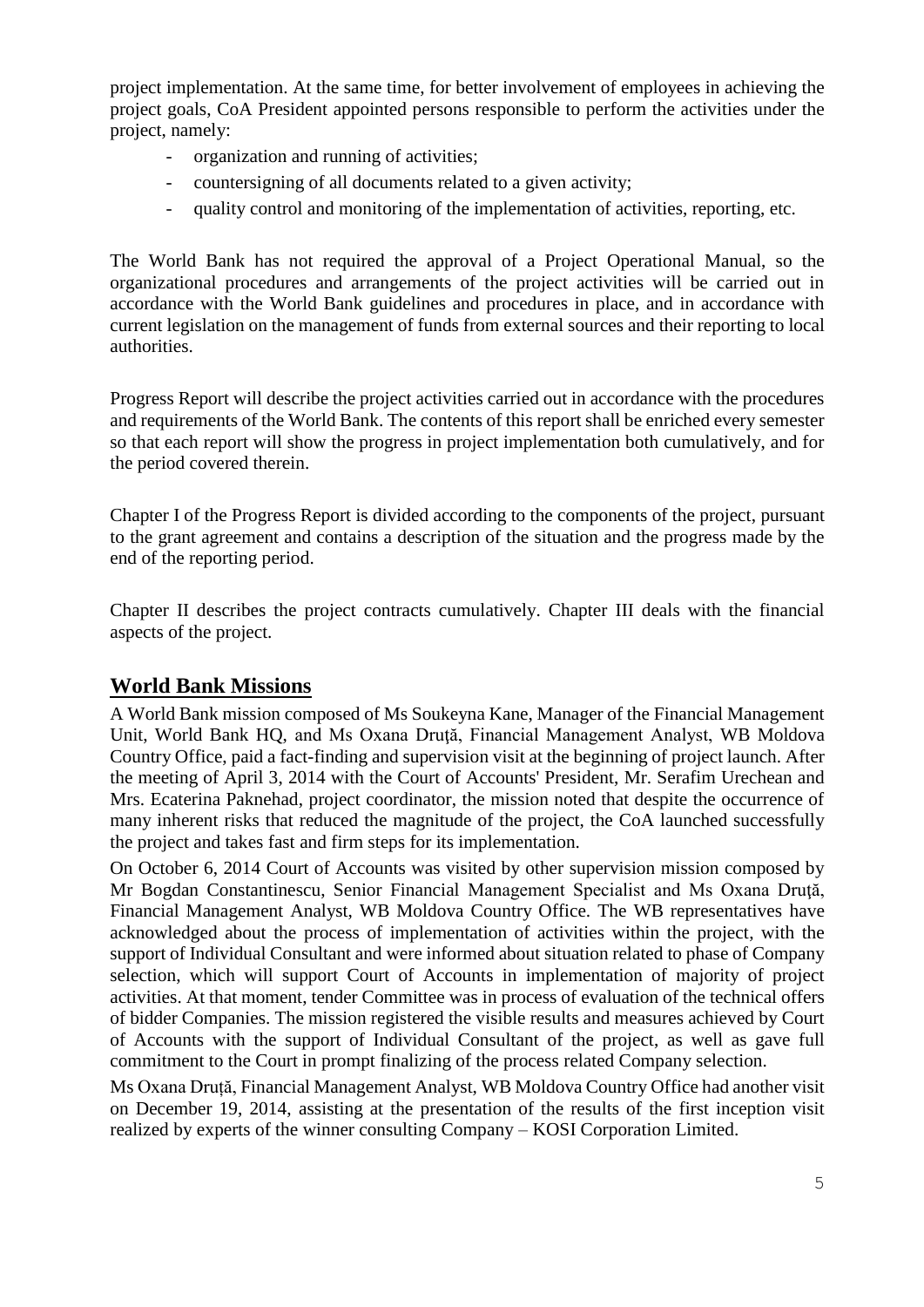project implementation. At the same time, for better involvement of employees in achieving the project goals, CoA President appointed persons responsible to perform the activities under the project, namely:

- organization and running of activities;
- countersigning of all documents related to a given activity;
- quality control and monitoring of the implementation of activities, reporting, etc.

The World Bank has not required the approval of a Project Operational Manual, so the organizational procedures and arrangements of the project activities will be carried out in accordance with the World Bank guidelines and procedures in place, and in accordance with current legislation on the management of funds from external sources and their reporting to local authorities.

Progress Report will describe the project activities carried out in accordance with the procedures and requirements of the World Bank. The contents of this report shall be enriched every semester so that each report will show the progress in project implementation both cumulatively, and for the period covered therein.

Chapter I of the Progress Report is divided according to the components of the project, pursuant to the grant agreement and contains a description of the situation and the progress made by the end of the reporting period.

Chapter II describes the project contracts cumulatively. Chapter III deals with the financial aspects of the project.

## **World Bank Missions**

A World Bank mission composed of Ms Soukeyna Kane, Manager of the Financial Management Unit, World Bank HQ, and Ms Oxana Drută, Financial Management Analyst, WB Moldova Country Office, paid a fact-finding and supervision visit at the beginning of project launch. After the meeting of April 3, 2014 with the Court of Accounts' President, Mr. Serafim Urechean and Mrs. Ecaterina Paknehad, project coordinator, the mission noted that despite the occurrence of many inherent risks that reduced the magnitude of the project, the CoA launched successfully the project and takes fast and firm steps for its implementation.

On October 6, 2014 Court of Accounts was visited by other supervision mission composed by Mr Bogdan Constantinescu, Senior Financial Management Specialist and Ms Oxana Druţă, Financial Management Analyst, WB Moldova Country Office. The WB representatives have acknowledged about the process of implementation of activities within the project, with the support of Individual Consultant and were informed about situation related to phase of Company selection, which will support Court of Accounts in implementation of majority of project activities. At that moment, tender Committee was in process of evaluation of the technical offers of bidder Companies. The mission registered the visible results and measures achieved by Court of Accounts with the support of Individual Consultant of the project, as well as gave full commitment to the Court in prompt finalizing of the process related Company selection.

Ms Oxana Druță, Financial Management Analyst, WB Moldova Country Office had another visit on December 19, 2014, assisting at the presentation of the results of the first inception visit realized by experts of the winner consulting Company – KOSI Corporation Limited.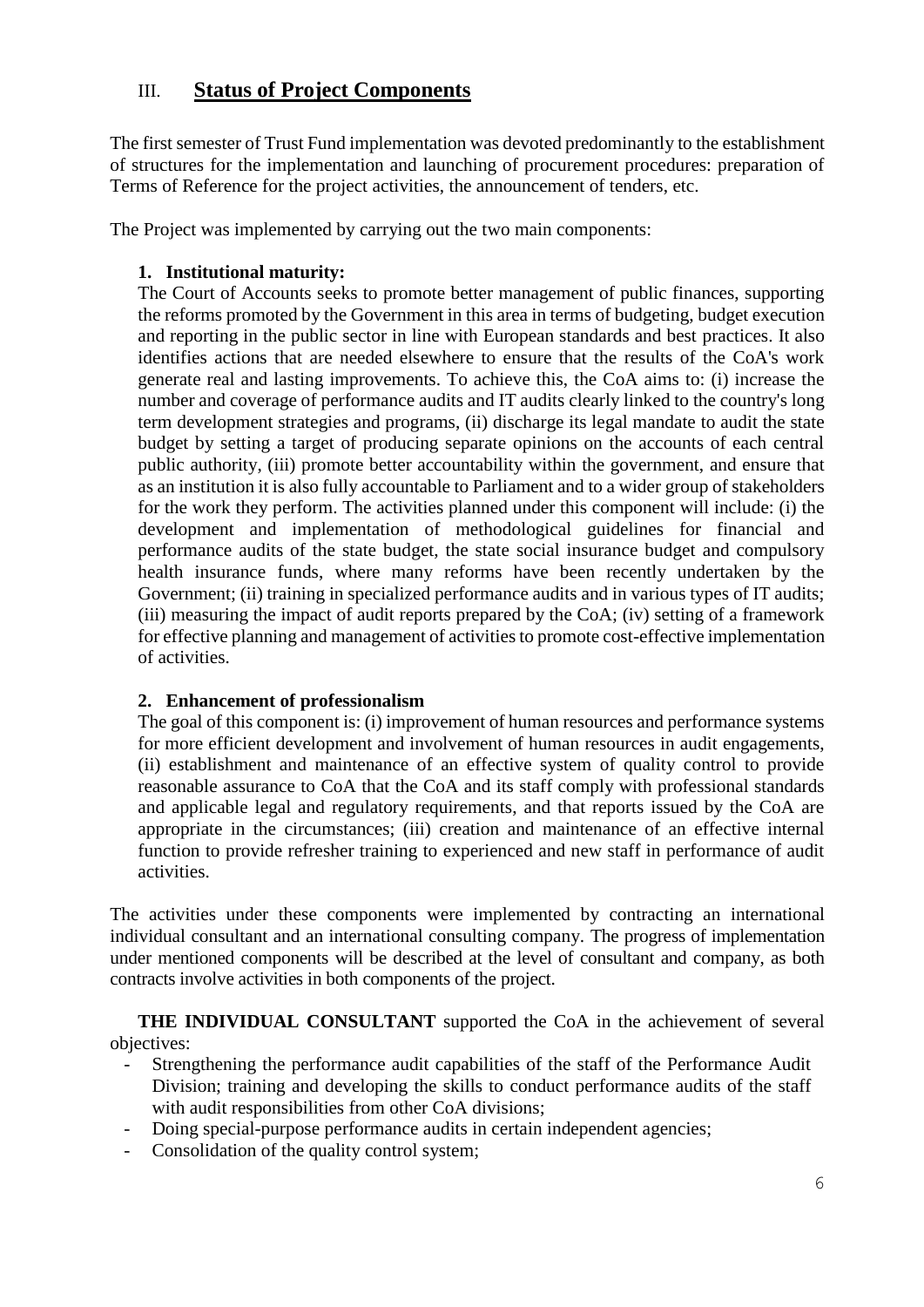## III. **Status of Project Components**

The first semester of Trust Fund implementation was devoted predominantly to the establishment of structures for the implementation and launching of procurement procedures: preparation of Terms of Reference for the project activities, the announcement of tenders, etc.

The Project was implemented by carrying out the two main components:

## **1. Institutional maturity:**

The Court of Accounts seeks to promote better management of public finances, supporting the reforms promoted by the Government in this area in terms of budgeting, budget execution and reporting in the public sector in line with European standards and best practices. It also identifies actions that are needed elsewhere to ensure that the results of the CoA's work generate real and lasting improvements. To achieve this, the CoA aims to: (i) increase the number and coverage of performance audits and IT audits clearly linked to the country's long term development strategies and programs, (ii) discharge its legal mandate to audit the state budget by setting a target of producing separate opinions on the accounts of each central public authority, (iii) promote better accountability within the government, and ensure that as an institution it is also fully accountable to Parliament and to a wider group of stakeholders for the work they perform. The activities planned under this component will include: (i) the development and implementation of methodological guidelines for financial and performance audits of the state budget, the state social insurance budget and compulsory health insurance funds, where many reforms have been recently undertaken by the Government; (ii) training in specialized performance audits and in various types of IT audits; (iii) measuring the impact of audit reports prepared by the CoA; (iv) setting of a framework for effective planning and management of activities to promote cost-effective implementation of activities.

## **2. Enhancement of professionalism**

The goal of this component is: (i) improvement of human resources and performance systems for more efficient development and involvement of human resources in audit engagements, (ii) establishment and maintenance of an effective system of quality control to provide reasonable assurance to CoA that the CoA and its staff comply with professional standards and applicable legal and regulatory requirements, and that reports issued by the CoA are appropriate in the circumstances; (iii) creation and maintenance of an effective internal function to provide refresher training to experienced and new staff in performance of audit activities.

The activities under these components were implemented by contracting an international individual consultant and an international consulting company. The progress of implementation under mentioned components will be described at the level of consultant and company, as both contracts involve activities in both components of the project.

**THE INDIVIDUAL CONSULTANT** supported the CoA in the achievement of several objectives:

- Strengthening the performance audit capabilities of the staff of the Performance Audit Division; training and developing the skills to conduct performance audits of the staff with audit responsibilities from other CoA divisions;
- Doing special-purpose performance audits in certain independent agencies;
- Consolidation of the quality control system;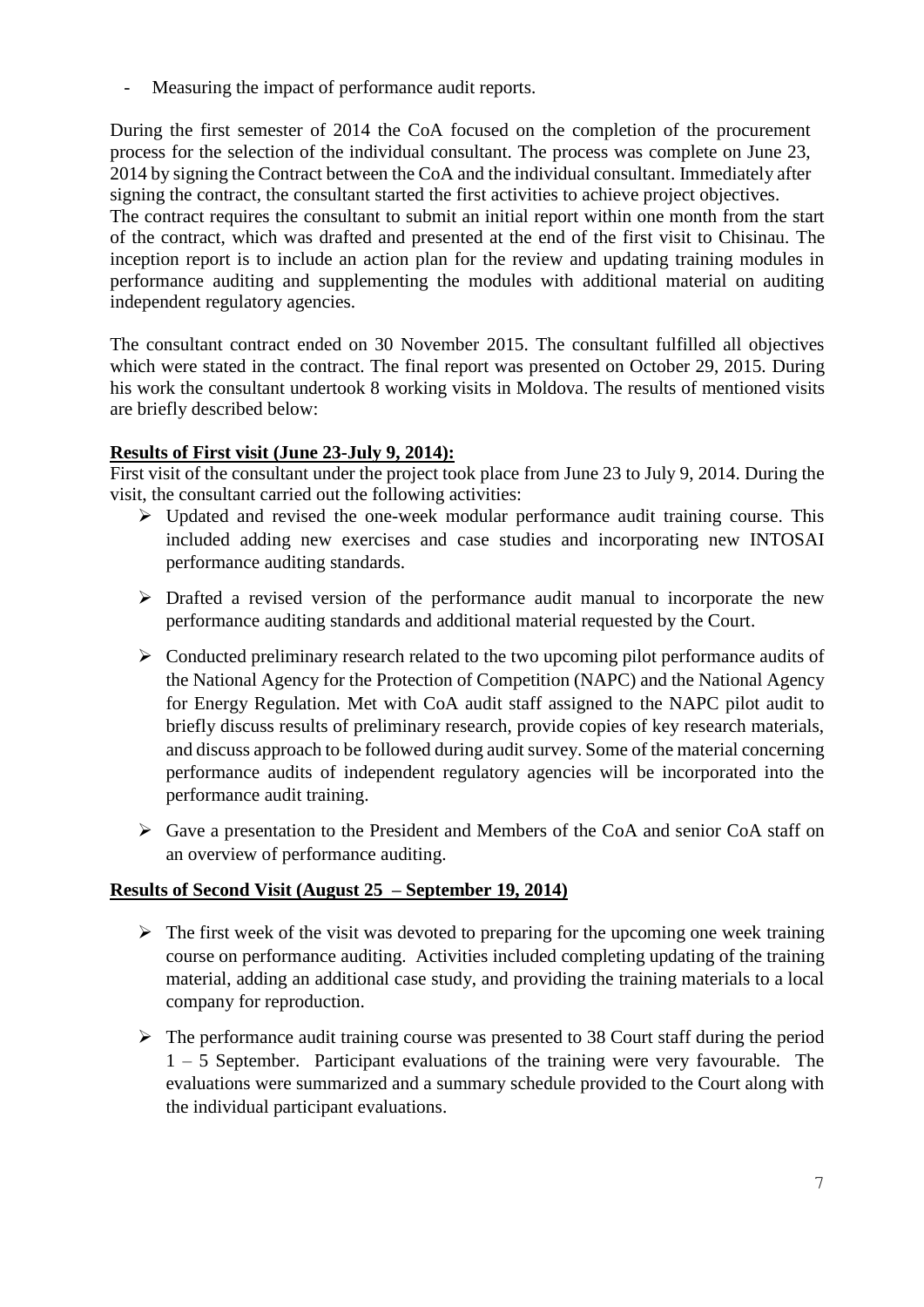Measuring the impact of performance audit reports.

During the first semester of 2014 the CoA focused on the completion of the procurement process for the selection of the individual consultant. The process was complete on June 23, 2014 by signing the Contract between the CoA and the individual consultant. Immediately after signing the contract, the consultant started the first activities to achieve project objectives. The contract requires the consultant to submit an initial report within one month from the start of the contract, which was drafted and presented at the end of the first visit to Chisinau. The inception report is to include an action plan for the review and updating training modules in performance auditing and supplementing the modules with additional material on auditing independent regulatory agencies.

The consultant contract ended on 30 November 2015. The consultant fulfilled all objectives which were stated in the contract. The final report was presented on October 29, 2015. During his work the consultant undertook 8 working visits in Moldova. The results of mentioned visits are briefly described below:

## **Results of First visit (June 23-July 9, 2014):**

First visit of the consultant under the project took place from June 23 to July 9, 2014. During the visit, the consultant carried out the following activities:

- $\triangleright$  Updated and revised the one-week modular performance audit training course. This included adding new exercises and case studies and incorporating new INTOSAI performance auditing standards.
- $\triangleright$  Drafted a revised version of the performance audit manual to incorporate the new performance auditing standards and additional material requested by the Court.
- $\triangleright$  Conducted preliminary research related to the two upcoming pilot performance audits of the National Agency for the Protection of Competition (NAPC) and the National Agency for Energy Regulation. Met with CoA audit staff assigned to the NAPC pilot audit to briefly discuss results of preliminary research, provide copies of key research materials, and discuss approach to be followed during audit survey. Some of the material concerning performance audits of independent regulatory agencies will be incorporated into the performance audit training.
- Gave a presentation to the President and Members of the CoA and senior CoA staff on an overview of performance auditing.

## **Results of Second Visit (August 25 – September 19, 2014)**

- $\triangleright$  The first week of the visit was devoted to preparing for the upcoming one week training course on performance auditing. Activities included completing updating of the training material, adding an additional case study, and providing the training materials to a local company for reproduction.
- $\triangleright$  The performance audit training course was presented to 38 Court staff during the period 1 – 5 September. Participant evaluations of the training were very favourable. The evaluations were summarized and a summary schedule provided to the Court along with the individual participant evaluations.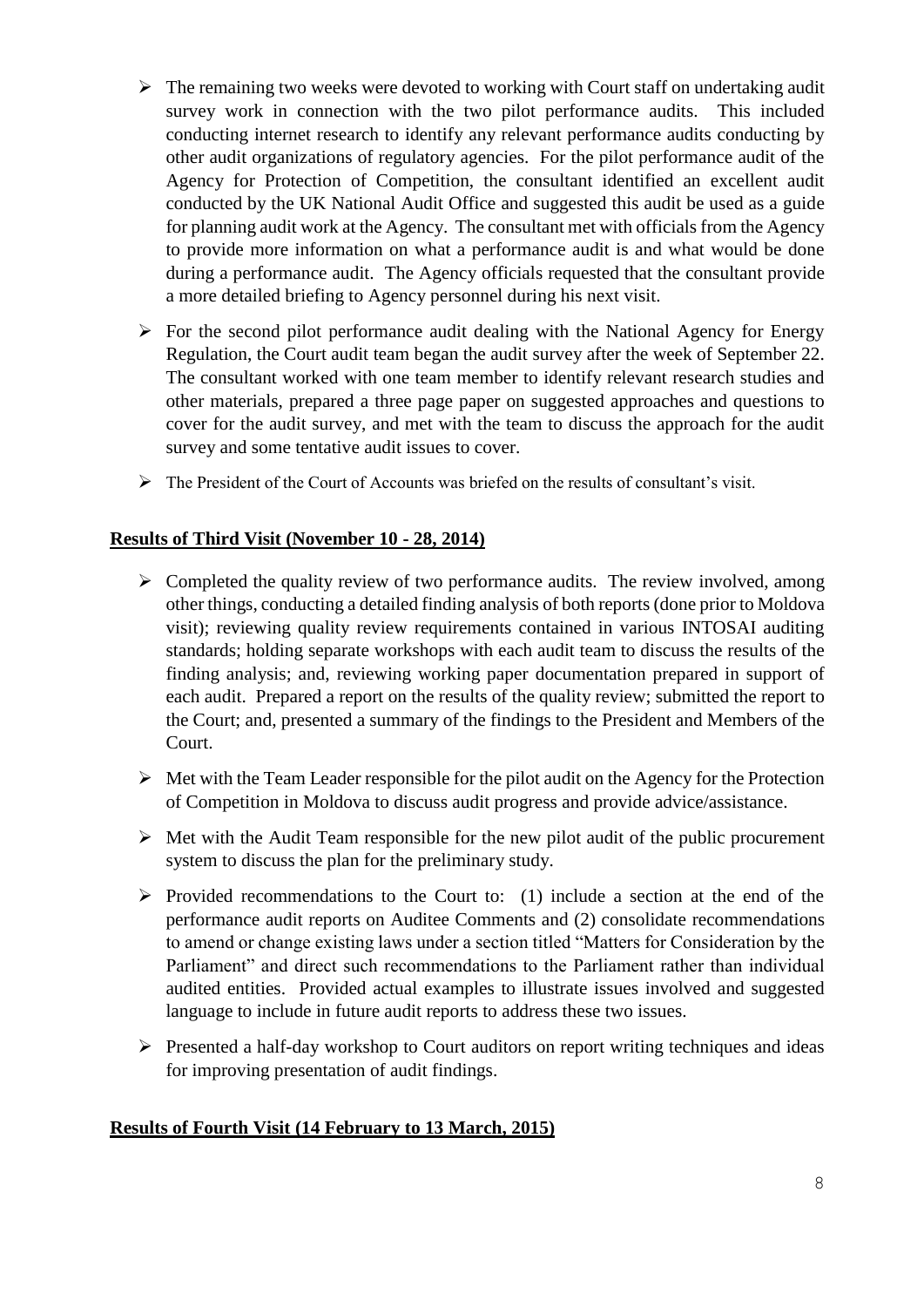- $\triangleright$  The remaining two weeks were devoted to working with Court staff on undertaking audit survey work in connection with the two pilot performance audits. This included conducting internet research to identify any relevant performance audits conducting by other audit organizations of regulatory agencies. For the pilot performance audit of the Agency for Protection of Competition, the consultant identified an excellent audit conducted by the UK National Audit Office and suggested this audit be used as a guide for planning audit work at the Agency. The consultant met with officials from the Agency to provide more information on what a performance audit is and what would be done during a performance audit. The Agency officials requested that the consultant provide a more detailed briefing to Agency personnel during his next visit.
- $\triangleright$  For the second pilot performance audit dealing with the National Agency for Energy Regulation, the Court audit team began the audit survey after the week of September 22. The consultant worked with one team member to identify relevant research studies and other materials, prepared a three page paper on suggested approaches and questions to cover for the audit survey, and met with the team to discuss the approach for the audit survey and some tentative audit issues to cover.
- The President of the Court of Accounts was briefed on the results of consultant's visit.

## **Results of Third Visit (November 10 - 28, 2014)**

- $\triangleright$  Completed the quality review of two performance audits. The review involved, among other things, conducting a detailed finding analysis of both reports (done prior to Moldova visit); reviewing quality review requirements contained in various INTOSAI auditing standards; holding separate workshops with each audit team to discuss the results of the finding analysis; and, reviewing working paper documentation prepared in support of each audit. Prepared a report on the results of the quality review; submitted the report to the Court; and, presented a summary of the findings to the President and Members of the Court.
- $\triangleright$  Met with the Team Leader responsible for the pilot audit on the Agency for the Protection of Competition in Moldova to discuss audit progress and provide advice/assistance.
- $\triangleright$  Met with the Audit Team responsible for the new pilot audit of the public procurement system to discuss the plan for the preliminary study.
- $\triangleright$  Provided recommendations to the Court to: (1) include a section at the end of the performance audit reports on Auditee Comments and (2) consolidate recommendations to amend or change existing laws under a section titled "Matters for Consideration by the Parliament" and direct such recommendations to the Parliament rather than individual audited entities. Provided actual examples to illustrate issues involved and suggested language to include in future audit reports to address these two issues.
- $\triangleright$  Presented a half-day workshop to Court auditors on report writing techniques and ideas for improving presentation of audit findings.

## **Results of Fourth Visit (14 February to 13 March, 2015)**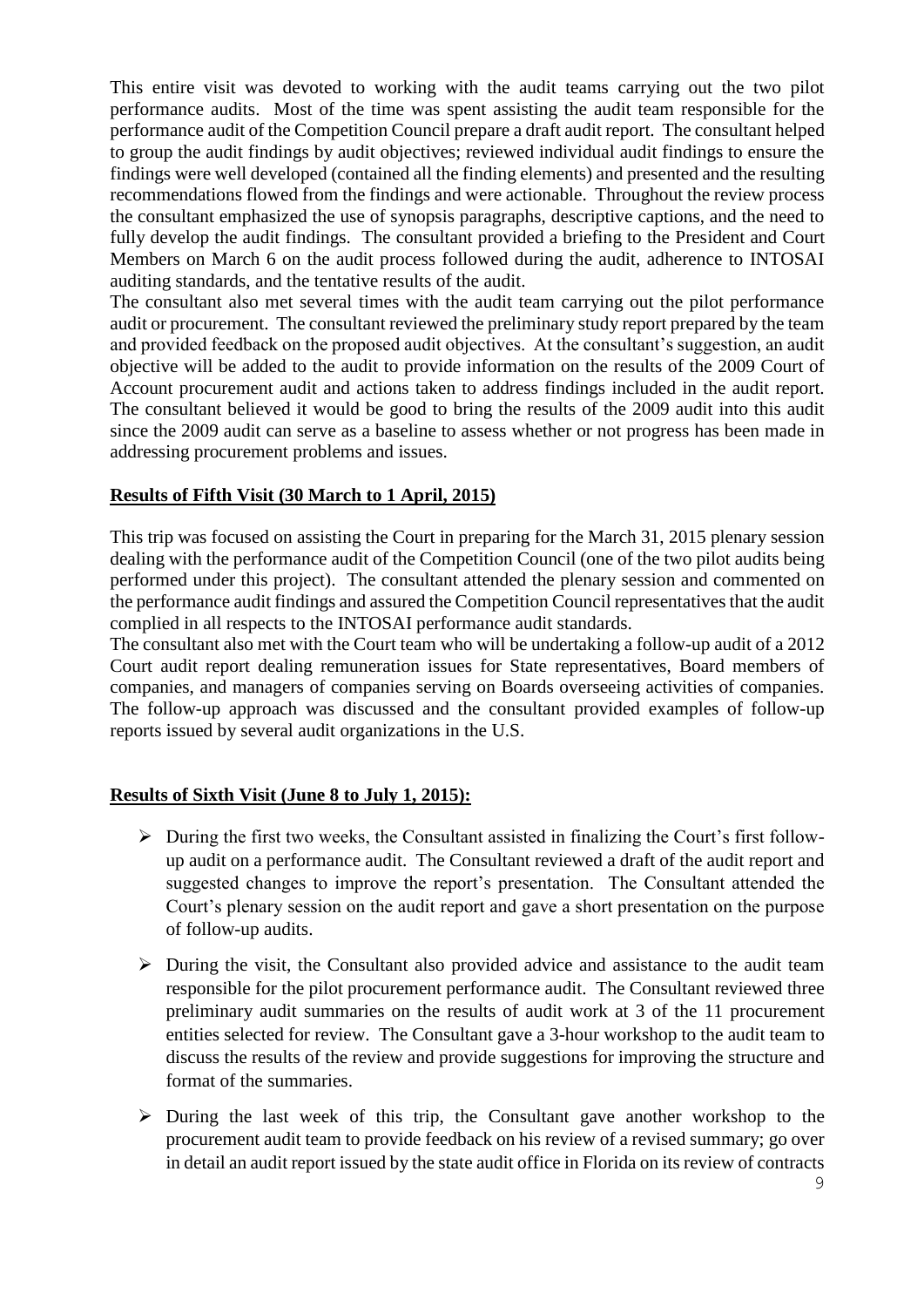This entire visit was devoted to working with the audit teams carrying out the two pilot performance audits. Most of the time was spent assisting the audit team responsible for the performance audit of the Competition Council prepare a draft audit report. The consultant helped to group the audit findings by audit objectives; reviewed individual audit findings to ensure the findings were well developed (contained all the finding elements) and presented and the resulting recommendations flowed from the findings and were actionable. Throughout the review process the consultant emphasized the use of synopsis paragraphs, descriptive captions, and the need to fully develop the audit findings. The consultant provided a briefing to the President and Court Members on March 6 on the audit process followed during the audit, adherence to INTOSAI auditing standards, and the tentative results of the audit.

The consultant also met several times with the audit team carrying out the pilot performance audit or procurement. The consultant reviewed the preliminary study report prepared by the team and provided feedback on the proposed audit objectives. At the consultant's suggestion, an audit objective will be added to the audit to provide information on the results of the 2009 Court of Account procurement audit and actions taken to address findings included in the audit report. The consultant believed it would be good to bring the results of the 2009 audit into this audit since the 2009 audit can serve as a baseline to assess whether or not progress has been made in addressing procurement problems and issues.

## **Results of Fifth Visit (30 March to 1 April, 2015)**

This trip was focused on assisting the Court in preparing for the March 31, 2015 plenary session dealing with the performance audit of the Competition Council (one of the two pilot audits being performed under this project). The consultant attended the plenary session and commented on the performance audit findings and assured the Competition Council representatives that the audit complied in all respects to the INTOSAI performance audit standards.

The consultant also met with the Court team who will be undertaking a follow-up audit of a 2012 Court audit report dealing remuneration issues for State representatives, Board members of companies, and managers of companies serving on Boards overseeing activities of companies. The follow-up approach was discussed and the consultant provided examples of follow-up reports issued by several audit organizations in the U.S.

## **Results of Sixth Visit (June 8 to July 1, 2015):**

- $\triangleright$  During the first two weeks, the Consultant assisted in finalizing the Court's first followup audit on a performance audit. The Consultant reviewed a draft of the audit report and suggested changes to improve the report's presentation. The Consultant attended the Court's plenary session on the audit report and gave a short presentation on the purpose of follow-up audits.
- $\triangleright$  During the visit, the Consultant also provided advice and assistance to the audit team responsible for the pilot procurement performance audit. The Consultant reviewed three preliminary audit summaries on the results of audit work at 3 of the 11 procurement entities selected for review. The Consultant gave a 3-hour workshop to the audit team to discuss the results of the review and provide suggestions for improving the structure and format of the summaries.
- $\triangleright$  During the last week of this trip, the Consultant gave another workshop to the procurement audit team to provide feedback on his review of a revised summary; go over in detail an audit report issued by the state audit office in Florida on its review of contracts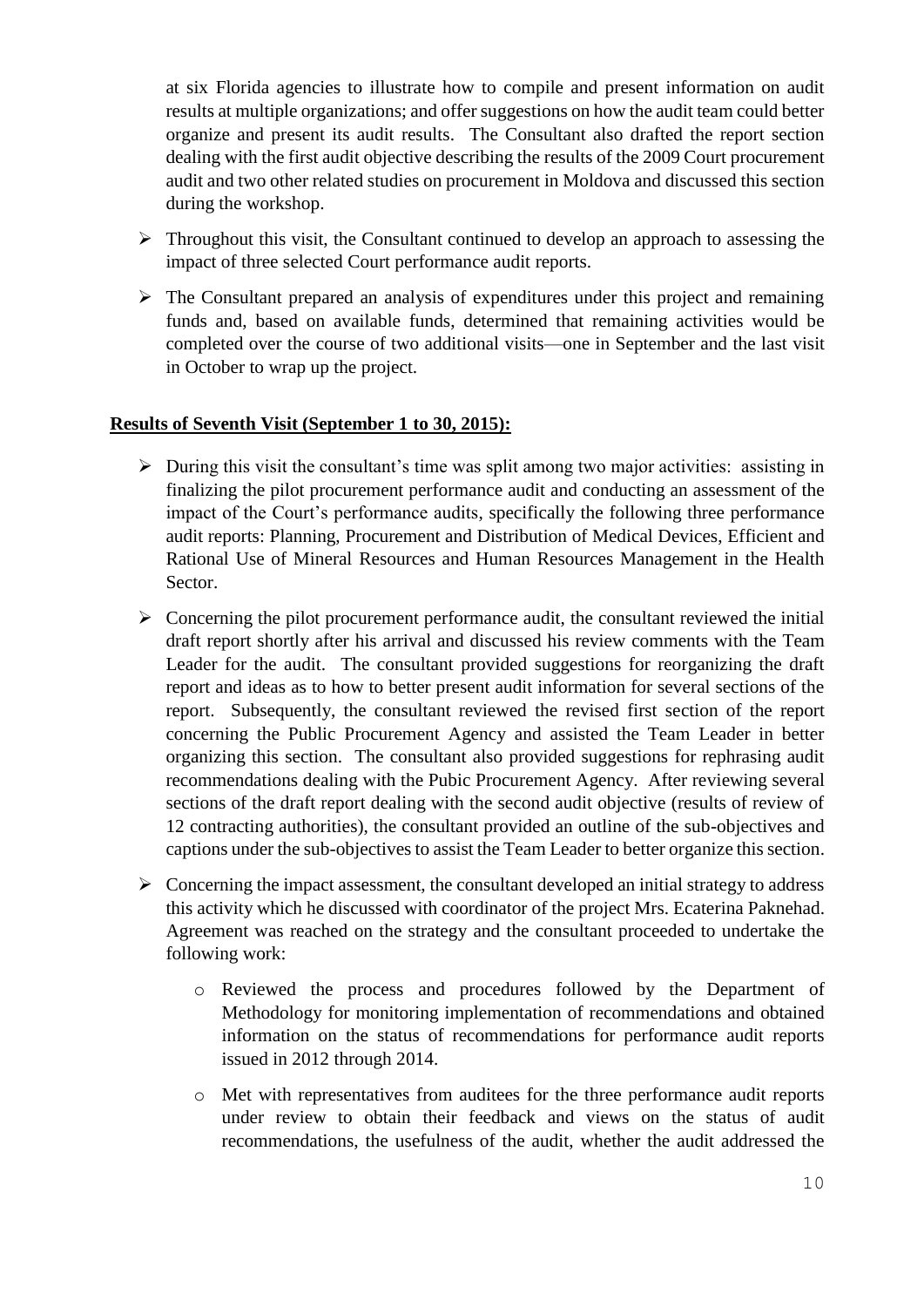at six Florida agencies to illustrate how to compile and present information on audit results at multiple organizations; and offer suggestions on how the audit team could better organize and present its audit results. The Consultant also drafted the report section dealing with the first audit objective describing the results of the 2009 Court procurement audit and two other related studies on procurement in Moldova and discussed this section during the workshop.

- $\triangleright$  Throughout this visit, the Consultant continued to develop an approach to assessing the impact of three selected Court performance audit reports.
- $\triangleright$  The Consultant prepared an analysis of expenditures under this project and remaining funds and, based on available funds, determined that remaining activities would be completed over the course of two additional visits—one in September and the last visit in October to wrap up the project.

#### **Results of Seventh Visit (September 1 to 30, 2015):**

- $\triangleright$  During this visit the consultant's time was split among two major activities: assisting in finalizing the pilot procurement performance audit and conducting an assessment of the impact of the Court's performance audits, specifically the following three performance audit reports: Planning, Procurement and Distribution of Medical Devices, Efficient and Rational Use of Mineral Resources and Human Resources Management in the Health Sector.
- $\triangleright$  Concerning the pilot procurement performance audit, the consultant reviewed the initial draft report shortly after his arrival and discussed his review comments with the Team Leader for the audit. The consultant provided suggestions for reorganizing the draft report and ideas as to how to better present audit information for several sections of the report. Subsequently, the consultant reviewed the revised first section of the report concerning the Public Procurement Agency and assisted the Team Leader in better organizing this section. The consultant also provided suggestions for rephrasing audit recommendations dealing with the Pubic Procurement Agency. After reviewing several sections of the draft report dealing with the second audit objective (results of review of 12 contracting authorities), the consultant provided an outline of the sub-objectives and captions under the sub-objectives to assist the Team Leader to better organize this section.
- $\triangleright$  Concerning the impact assessment, the consultant developed an initial strategy to address this activity which he discussed with coordinator of the project Mrs. Ecaterina Paknehad. Agreement was reached on the strategy and the consultant proceeded to undertake the following work:
	- o Reviewed the process and procedures followed by the Department of Methodology for monitoring implementation of recommendations and obtained information on the status of recommendations for performance audit reports issued in 2012 through 2014.
	- o Met with representatives from auditees for the three performance audit reports under review to obtain their feedback and views on the status of audit recommendations, the usefulness of the audit, whether the audit addressed the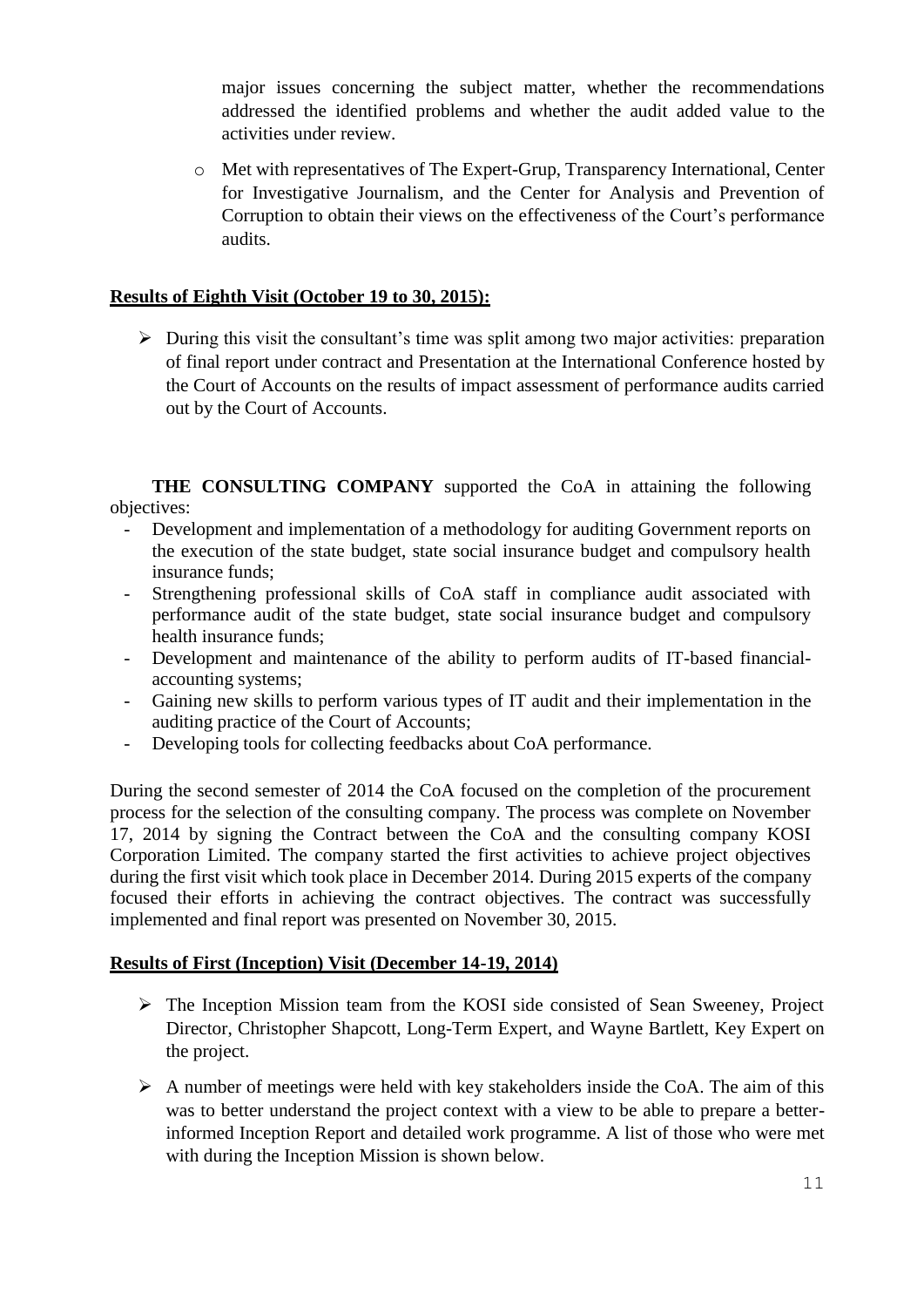major issues concerning the subject matter, whether the recommendations addressed the identified problems and whether the audit added value to the activities under review.

o Met with representatives of The Expert-Grup, Transparency International, Center for Investigative Journalism, and the Center for Analysis and Prevention of Corruption to obtain their views on the effectiveness of the Court's performance audits.

## **Results of Eighth Visit (October 19 to 30, 2015):**

 $\triangleright$  During this visit the consultant's time was split among two major activities: preparation of final report under contract and Presentation at the International Conference hosted by the Court of Accounts on the results of impact assessment of performance audits carried out by the Court of Accounts.

**THE CONSULTING COMPANY** supported the CoA in attaining the following objectives:

- Development and implementation of a methodology for auditing Government reports on the execution of the state budget, state social insurance budget and compulsory health insurance funds;
- Strengthening professional skills of CoA staff in compliance audit associated with performance audit of the state budget, state social insurance budget and compulsory health insurance funds;
- Development and maintenance of the ability to perform audits of IT-based financialaccounting systems;
- Gaining new skills to perform various types of IT audit and their implementation in the auditing practice of the Court of Accounts;
- Developing tools for collecting feedbacks about CoA performance.

During the second semester of 2014 the CoA focused on the completion of the procurement process for the selection of the consulting company. The process was complete on November 17, 2014 by signing the Contract between the CoA and the consulting company KOSI Corporation Limited. The company started the first activities to achieve project objectives during the first visit which took place in December 2014. During 2015 experts of the company focused their efforts in achieving the contract objectives. The contract was successfully implemented and final report was presented on November 30, 2015.

## **Results of First (Inception) Visit (December 14-19, 2014)**

- $\triangleright$  The Inception Mission team from the KOSI side consisted of Sean Sweeney, Project Director, Christopher Shapcott, Long-Term Expert, and Wayne Bartlett, Key Expert on the project.
- $\triangleright$  A number of meetings were held with key stakeholders inside the CoA. The aim of this was to better understand the project context with a view to be able to prepare a betterinformed Inception Report and detailed work programme. A list of those who were met with during the Inception Mission is shown below.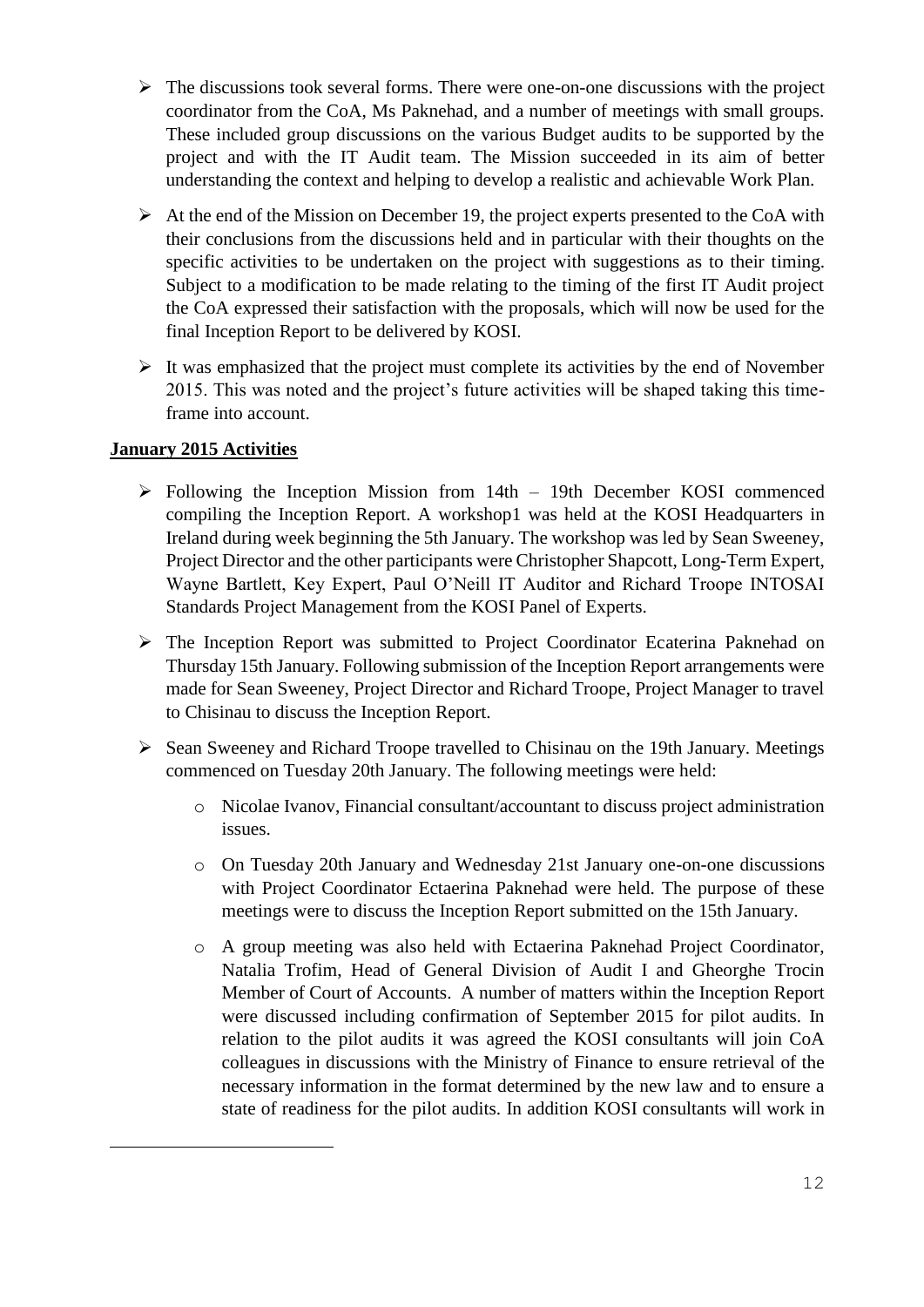- $\triangleright$  The discussions took several forms. There were one-on-one discussions with the project coordinator from the CoA, Ms Paknehad, and a number of meetings with small groups. These included group discussions on the various Budget audits to be supported by the project and with the IT Audit team. The Mission succeeded in its aim of better understanding the context and helping to develop a realistic and achievable Work Plan.
- $\triangleright$  At the end of the Mission on December 19, the project experts presented to the CoA with their conclusions from the discussions held and in particular with their thoughts on the specific activities to be undertaken on the project with suggestions as to their timing. Subject to a modification to be made relating to the timing of the first IT Audit project the CoA expressed their satisfaction with the proposals, which will now be used for the final Inception Report to be delivered by KOSI.
- $\triangleright$  It was emphasized that the project must complete its activities by the end of November 2015. This was noted and the project's future activities will be shaped taking this timeframe into account.

## **January 2015 Activities**

a<br>B

- $\triangleright$  Following the Inception Mission from 14th 19th December KOSI commenced compiling the Inception Report. A workshop1 was held at the KOSI Headquarters in Ireland during week beginning the 5th January. The workshop was led by Sean Sweeney, Project Director and the other participants were Christopher Shapcott, Long-Term Expert, Wayne Bartlett, Key Expert, Paul O'Neill IT Auditor and Richard Troope INTOSAI Standards Project Management from the KOSI Panel of Experts.
- The Inception Report was submitted to Project Coordinator Ecaterina Paknehad on Thursday 15th January. Following submission of the Inception Report arrangements were made for Sean Sweeney, Project Director and Richard Troope, Project Manager to travel to Chisinau to discuss the Inception Report.
- $\triangleright$  Sean Sweeney and Richard Troope travelled to Chisinau on the 19th January. Meetings commenced on Tuesday 20th January. The following meetings were held:
	- o Nicolae Ivanov, Financial consultant/accountant to discuss project administration issues.
	- o On Tuesday 20th January and Wednesday 21st January one-on-one discussions with Project Coordinator Ectaerina Paknehad were held. The purpose of these meetings were to discuss the Inception Report submitted on the 15th January.
	- o A group meeting was also held with Ectaerina Paknehad Project Coordinator, Natalia Trofim, Head of General Division of Audit I and Gheorghe Trocin Member of Court of Accounts. A number of matters within the Inception Report were discussed including confirmation of September 2015 for pilot audits. In relation to the pilot audits it was agreed the KOSI consultants will join CoA colleagues in discussions with the Ministry of Finance to ensure retrieval of the necessary information in the format determined by the new law and to ensure a state of readiness for the pilot audits. In addition KOSI consultants will work in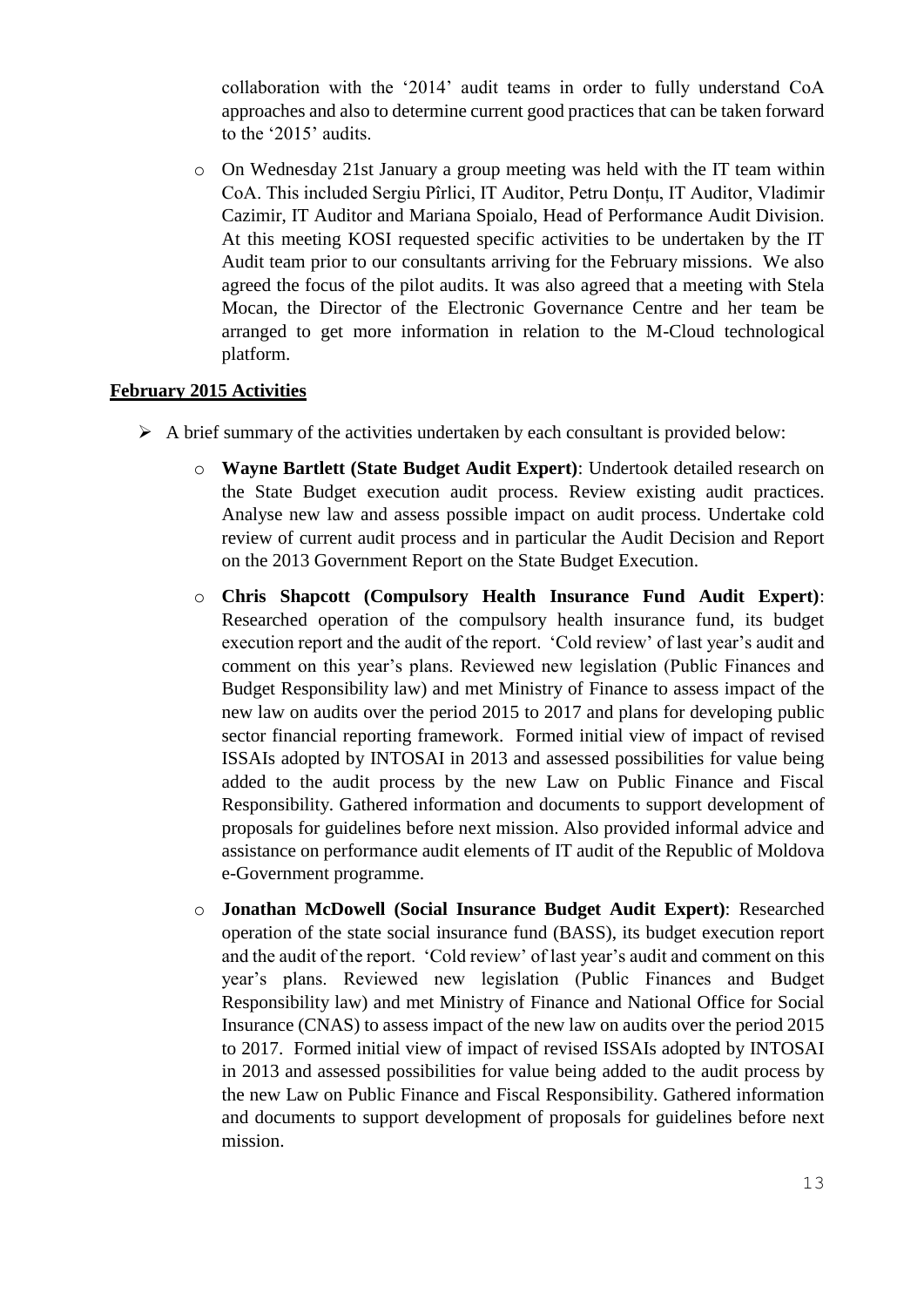collaboration with the '2014' audit teams in order to fully understand CoA approaches and also to determine current good practices that can be taken forward to the '2015' audits.

o On Wednesday 21st January a group meeting was held with the IT team within CoA. This included Sergiu Pîrlici, IT Auditor, Petru Donțu, IT Auditor, Vladimir Cazimir, IT Auditor and Mariana Spoialo, Head of Performance Audit Division. At this meeting KOSI requested specific activities to be undertaken by the IT Audit team prior to our consultants arriving for the February missions. We also agreed the focus of the pilot audits. It was also agreed that a meeting with Stela Mocan, the Director of the Electronic Governance Centre and her team be arranged to get more information in relation to the M-Cloud technological platform.

#### **February 2015 Activities**

- $\triangleright$  A brief summary of the activities undertaken by each consultant is provided below:
	- o **Wayne Bartlett (State Budget Audit Expert)**: Undertook detailed research on the State Budget execution audit process. Review existing audit practices. Analyse new law and assess possible impact on audit process. Undertake cold review of current audit process and in particular the Audit Decision and Report on the 2013 Government Report on the State Budget Execution.
	- o **Chris Shapcott (Compulsory Health Insurance Fund Audit Expert)**: Researched operation of the compulsory health insurance fund, its budget execution report and the audit of the report. 'Cold review' of last year's audit and comment on this year's plans. Reviewed new legislation (Public Finances and Budget Responsibility law) and met Ministry of Finance to assess impact of the new law on audits over the period 2015 to 2017 and plans for developing public sector financial reporting framework. Formed initial view of impact of revised ISSAIs adopted by INTOSAI in 2013 and assessed possibilities for value being added to the audit process by the new Law on Public Finance and Fiscal Responsibility. Gathered information and documents to support development of proposals for guidelines before next mission. Also provided informal advice and assistance on performance audit elements of IT audit of the Republic of Moldova e-Government programme.
	- o **Jonathan McDowell (Social Insurance Budget Audit Expert)**: Researched operation of the state social insurance fund (BASS), its budget execution report and the audit of the report. 'Cold review' of last year's audit and comment on this year's plans. Reviewed new legislation (Public Finances and Budget Responsibility law) and met Ministry of Finance and National Office for Social Insurance (CNAS) to assess impact of the new law on audits over the period 2015 to 2017. Formed initial view of impact of revised ISSAIs adopted by INTOSAI in 2013 and assessed possibilities for value being added to the audit process by the new Law on Public Finance and Fiscal Responsibility. Gathered information and documents to support development of proposals for guidelines before next mission.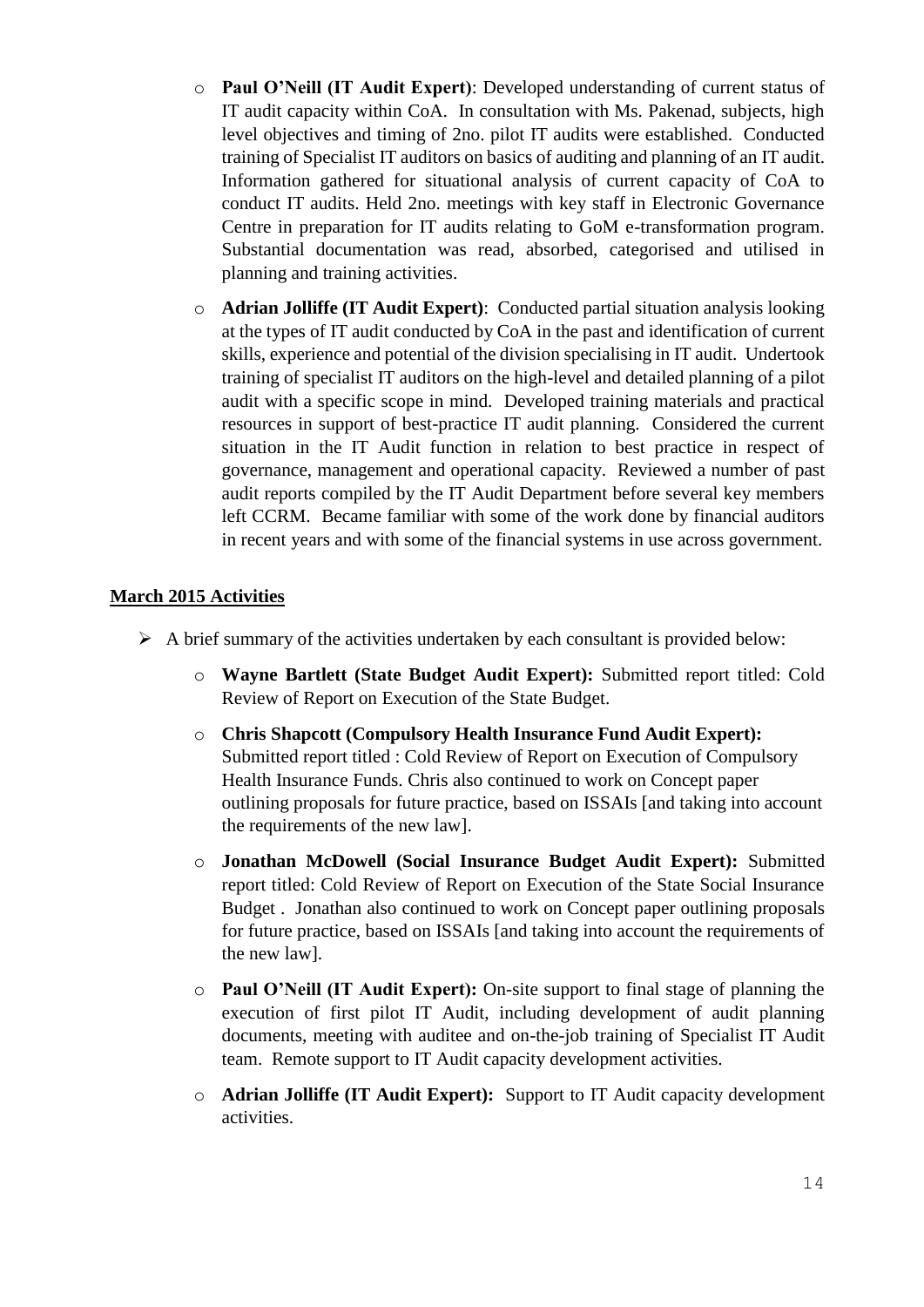- o **Paul O'Neill (IT Audit Expert)**: Developed understanding of current status of IT audit capacity within CoA. In consultation with Ms. Pakenad, subjects, high level objectives and timing of 2no. pilot IT audits were established. Conducted training of Specialist IT auditors on basics of auditing and planning of an IT audit. Information gathered for situational analysis of current capacity of CoA to conduct IT audits. Held 2no. meetings with key staff in Electronic Governance Centre in preparation for IT audits relating to GoM e-transformation program. Substantial documentation was read, absorbed, categorised and utilised in planning and training activities.
- o **Adrian Jolliffe (IT Audit Expert)**: Conducted partial situation analysis looking at the types of IT audit conducted by CoA in the past and identification of current skills, experience and potential of the division specialising in IT audit. Undertook training of specialist IT auditors on the high-level and detailed planning of a pilot audit with a specific scope in mind. Developed training materials and practical resources in support of best-practice IT audit planning. Considered the current situation in the IT Audit function in relation to best practice in respect of governance, management and operational capacity. Reviewed a number of past audit reports compiled by the IT Audit Department before several key members left CCRM. Became familiar with some of the work done by financial auditors in recent years and with some of the financial systems in use across government.

#### **March 2015 Activities**

- $\triangleright$  A brief summary of the activities undertaken by each consultant is provided below:
	- o **Wayne Bartlett (State Budget Audit Expert):** Submitted report titled: Cold Review of Report on Execution of the State Budget.
	- o **Chris Shapcott (Compulsory Health Insurance Fund Audit Expert):** Submitted report titled : Cold Review of Report on Execution of Compulsory Health Insurance Funds. Chris also continued to work on Concept paper outlining proposals for future practice, based on ISSAIs [and taking into account the requirements of the new law].
	- o **Jonathan McDowell (Social Insurance Budget Audit Expert):** Submitted report titled: Cold Review of Report on Execution of the State Social Insurance Budget . Jonathan also continued to work on Concept paper outlining proposals for future practice, based on ISSAIs [and taking into account the requirements of the new law].
	- o **Paul O'Neill (IT Audit Expert):** On-site support to final stage of planning the execution of first pilot IT Audit, including development of audit planning documents, meeting with auditee and on-the-job training of Specialist IT Audit team. Remote support to IT Audit capacity development activities.
	- o **Adrian Jolliffe (IT Audit Expert):** Support to IT Audit capacity development activities.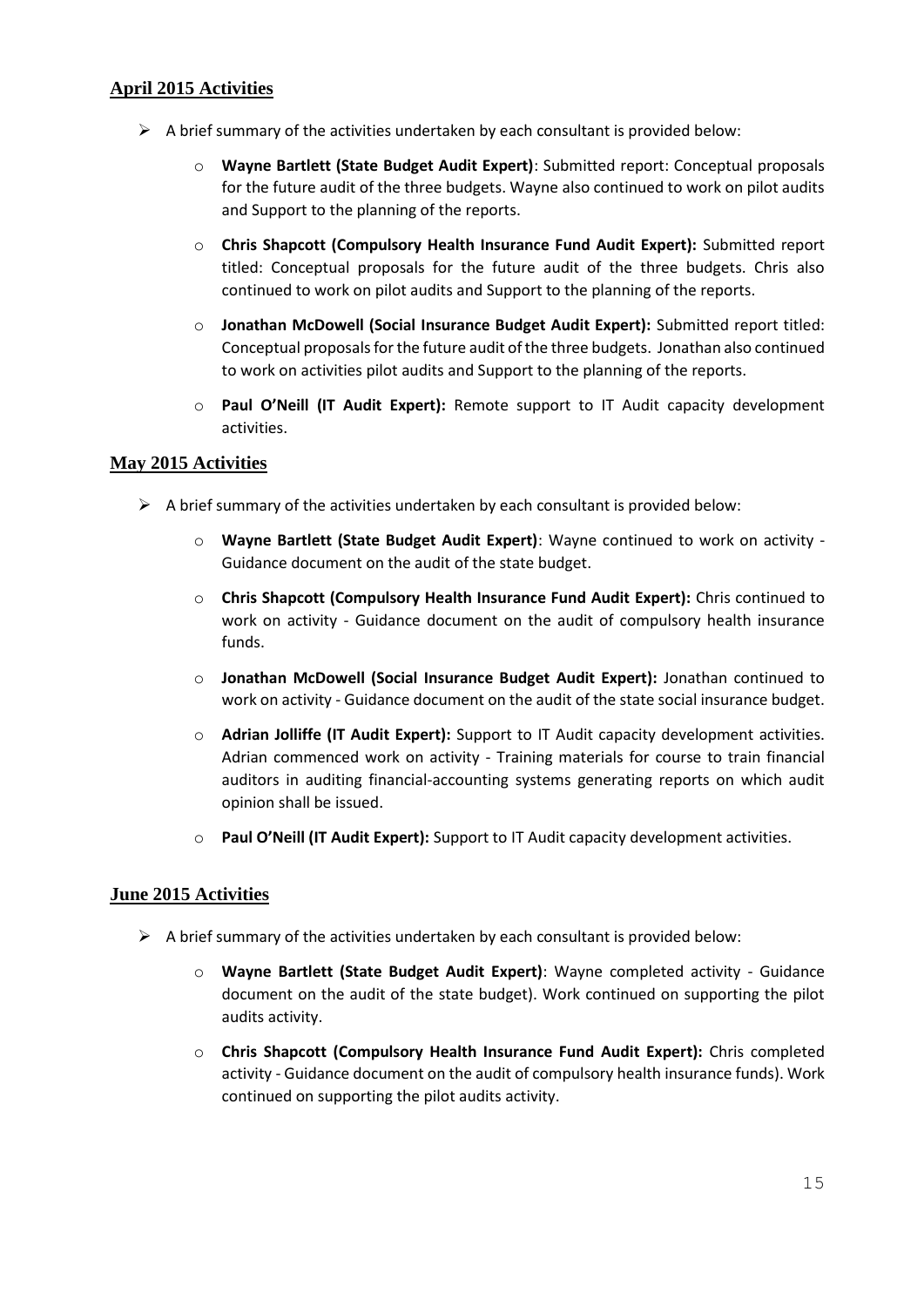## **April 2015 Activities**

- $\triangleright$  A brief summary of the activities undertaken by each consultant is provided below:
	- o **Wayne Bartlett (State Budget Audit Expert)**: Submitted report: Conceptual proposals for the future audit of the three budgets. Wayne also continued to work on pilot audits and Support to the planning of the reports.
	- o **Chris Shapcott (Compulsory Health Insurance Fund Audit Expert):** Submitted report titled: Conceptual proposals for the future audit of the three budgets. Chris also continued to work on pilot audits and Support to the planning of the reports.
	- o **Jonathan McDowell (Social Insurance Budget Audit Expert):** Submitted report titled: Conceptual proposals for the future audit of the three budgets. Jonathan also continued to work on activities pilot audits and Support to the planning of the reports.
	- o **Paul O'Neill (IT Audit Expert):** Remote support to IT Audit capacity development activities.

#### **May 2015 Activities**

- $\triangleright$  A brief summary of the activities undertaken by each consultant is provided below:
	- o **Wayne Bartlett (State Budget Audit Expert)**: Wayne continued to work on activity Guidance document on the audit of the state budget.
	- o **Chris Shapcott (Compulsory Health Insurance Fund Audit Expert):** Chris continued to work on activity - Guidance document on the audit of compulsory health insurance funds.
	- o **Jonathan McDowell (Social Insurance Budget Audit Expert):** Jonathan continued to work on activity - Guidance document on the audit of the state social insurance budget.
	- o **Adrian Jolliffe (IT Audit Expert):** Support to IT Audit capacity development activities. Adrian commenced work on activity - Training materials for course to train financial auditors in auditing financial-accounting systems generating reports on which audit opinion shall be issued.
	- o **Paul O'Neill (IT Audit Expert):** Support to IT Audit capacity development activities.

#### **June 2015 Activities**

- $\triangleright$  A brief summary of the activities undertaken by each consultant is provided below:
	- o **Wayne Bartlett (State Budget Audit Expert)**: Wayne completed activity Guidance document on the audit of the state budget). Work continued on supporting the pilot audits activity.
	- o **Chris Shapcott (Compulsory Health Insurance Fund Audit Expert):** Chris completed activity - Guidance document on the audit of compulsory health insurance funds). Work continued on supporting the pilot audits activity.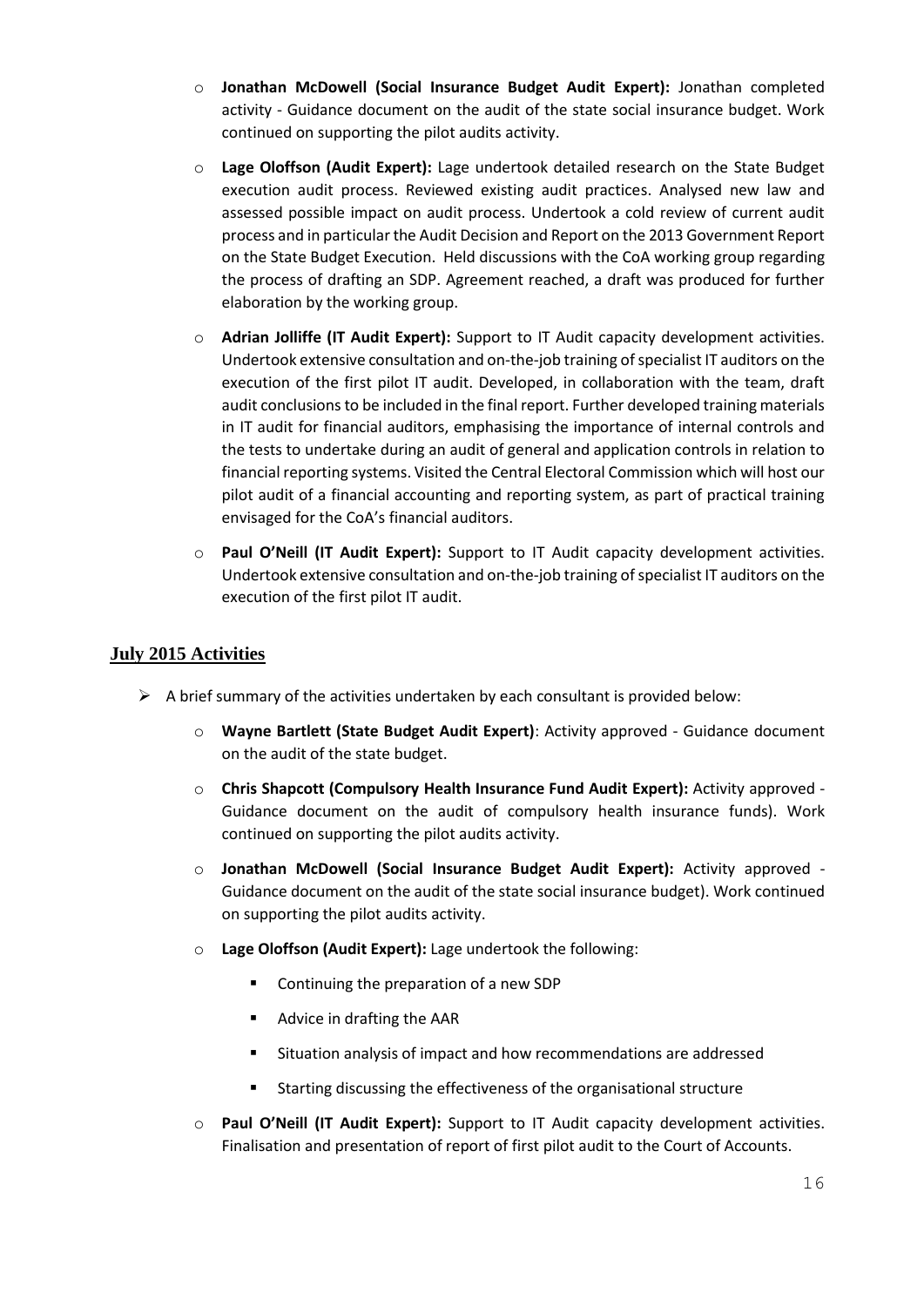- o **Jonathan McDowell (Social Insurance Budget Audit Expert):** Jonathan completed activity - Guidance document on the audit of the state social insurance budget. Work continued on supporting the pilot audits activity.
- o **Lage Oloffson (Audit Expert):** Lage undertook detailed research on the State Budget execution audit process. Reviewed existing audit practices. Analysed new law and assessed possible impact on audit process. Undertook a cold review of current audit process and in particular the Audit Decision and Report on the 2013 Government Report on the State Budget Execution. Held discussions with the CoA working group regarding the process of drafting an SDP. Agreement reached, a draft was produced for further elaboration by the working group.
- o **Adrian Jolliffe (IT Audit Expert):** Support to IT Audit capacity development activities. Undertook extensive consultation and on-the-job training of specialist IT auditors on the execution of the first pilot IT audit. Developed, in collaboration with the team, draft audit conclusions to be included in the final report. Further developed training materials in IT audit for financial auditors, emphasising the importance of internal controls and the tests to undertake during an audit of general and application controls in relation to financial reporting systems. Visited the Central Electoral Commission which will host our pilot audit of a financial accounting and reporting system, as part of practical training envisaged for the CoA's financial auditors.
- o **Paul O'Neill (IT Audit Expert):** Support to IT Audit capacity development activities. Undertook extensive consultation and on-the-job training of specialist IT auditors on the execution of the first pilot IT audit.

## **July 2015 Activities**

- $\triangleright$  A brief summary of the activities undertaken by each consultant is provided below:
	- o **Wayne Bartlett (State Budget Audit Expert)**: Activity approved Guidance document on the audit of the state budget.
	- o **Chris Shapcott (Compulsory Health Insurance Fund Audit Expert):** Activity approved Guidance document on the audit of compulsory health insurance funds). Work continued on supporting the pilot audits activity.
	- o **Jonathan McDowell (Social Insurance Budget Audit Expert):** Activity approved Guidance document on the audit of the state social insurance budget). Work continued on supporting the pilot audits activity.
	- o **Lage Oloffson (Audit Expert):** Lage undertook the following:
		- **Continuing the preparation of a new SDP**
		- Advice in drafting the AAR
		- Situation analysis of impact and how recommendations are addressed
		- **EXECT** Starting discussing the effectiveness of the organisational structure
	- o **Paul O'Neill (IT Audit Expert):** Support to IT Audit capacity development activities. Finalisation and presentation of report of first pilot audit to the Court of Accounts.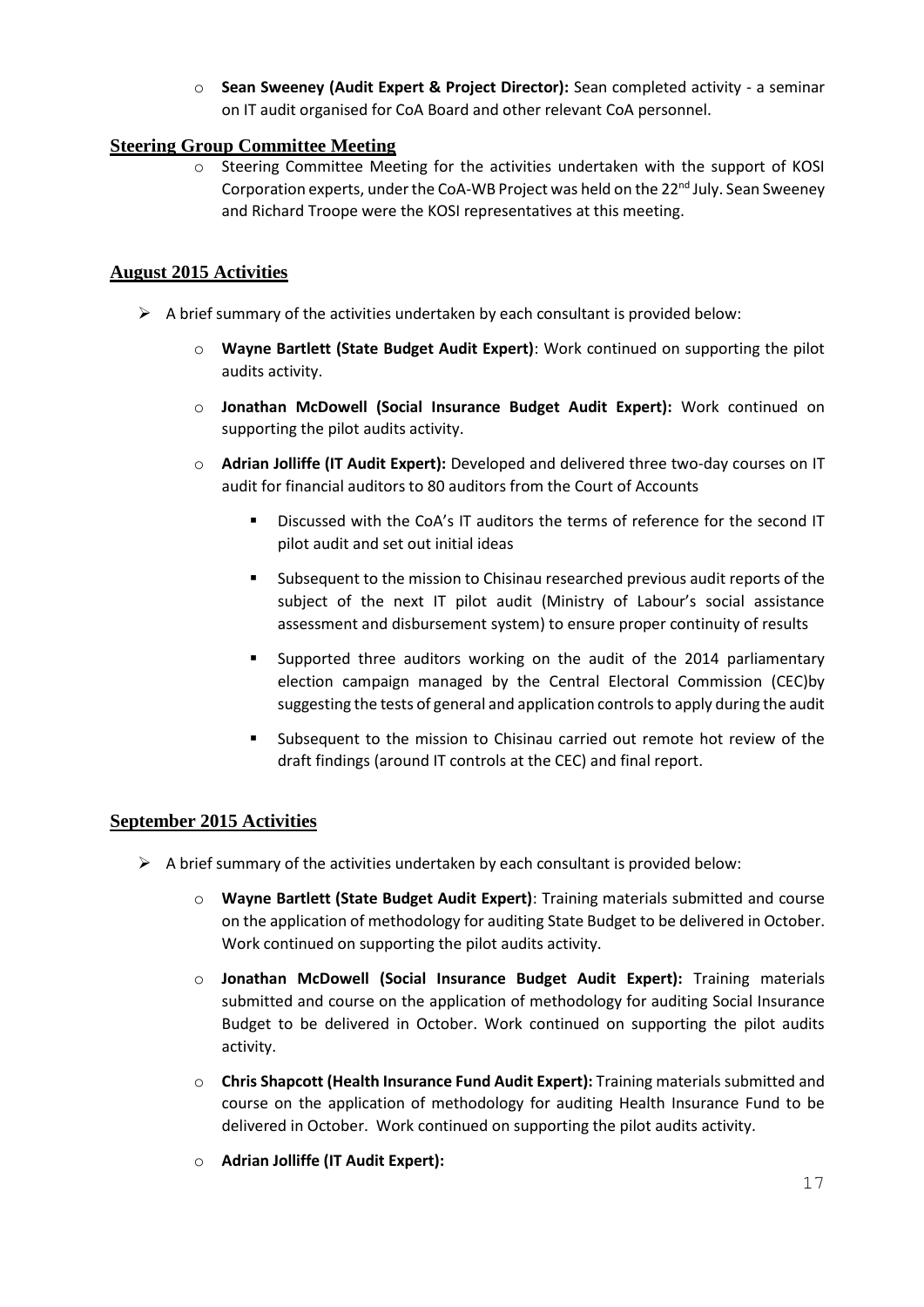o **Sean Sweeney (Audit Expert & Project Director):** Sean completed activity - a seminar on IT audit organised for CoA Board and other relevant CoA personnel.

#### **Steering Group Committee Meeting**

o Steering Committee Meeting for the activities undertaken with the support of KOSI Corporation experts, under the CoA-WB Project was held on the  $22<sup>nd</sup>$  July. Sean Sweeney and Richard Troope were the KOSI representatives at this meeting.

## **August 2015 Activities**

- $\triangleright$  A brief summary of the activities undertaken by each consultant is provided below:
	- o **Wayne Bartlett (State Budget Audit Expert)**: Work continued on supporting the pilot audits activity.
	- o **Jonathan McDowell (Social Insurance Budget Audit Expert):** Work continued on supporting the pilot audits activity.
	- o **Adrian Jolliffe (IT Audit Expert):** Developed and delivered three two-day courses on IT audit for financial auditors to 80 auditors from the Court of Accounts
		- Discussed with the CoA's IT auditors the terms of reference for the second IT pilot audit and set out initial ideas
		- Subsequent to the mission to Chisinau researched previous audit reports of the subject of the next IT pilot audit (Ministry of Labour's social assistance assessment and disbursement system) to ensure proper continuity of results
		- Supported three auditors working on the audit of the 2014 parliamentary election campaign managed by the Central Electoral Commission (CEC)by suggesting the tests of general and application controls to apply during the audit
		- Subsequent to the mission to Chisinau carried out remote hot review of the draft findings (around IT controls at the CEC) and final report.

#### **September 2015 Activities**

- $\triangleright$  A brief summary of the activities undertaken by each consultant is provided below:
	- o **Wayne Bartlett (State Budget Audit Expert)**: Training materials submitted and course on the application of methodology for auditing State Budget to be delivered in October. Work continued on supporting the pilot audits activity.
	- o **Jonathan McDowell (Social Insurance Budget Audit Expert):** Training materials submitted and course on the application of methodology for auditing Social Insurance Budget to be delivered in October. Work continued on supporting the pilot audits activity.
	- o **Chris Shapcott (Health Insurance Fund Audit Expert):** Training materials submitted and course on the application of methodology for auditing Health Insurance Fund to be delivered in October. Work continued on supporting the pilot audits activity.
	- o **Adrian Jolliffe (IT Audit Expert):**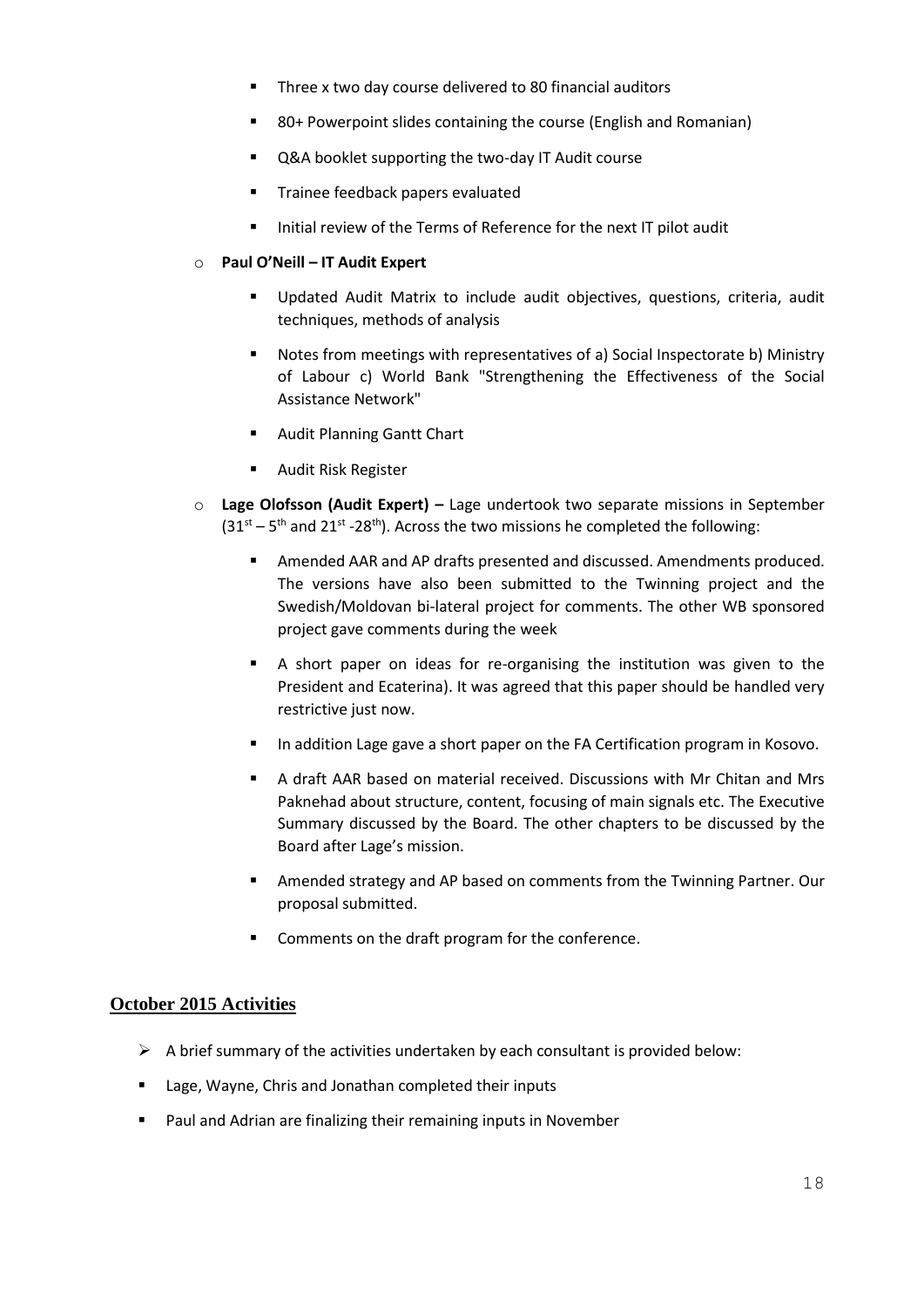- **Three x two day course delivered to 80 financial auditors**
- 80+ Powerpoint slides containing the course (English and Romanian)
- Q&A booklet supporting the two-day IT Audit course
- Trainee feedback papers evaluated
- Initial review of the Terms of Reference for the next IT pilot audit

#### o **Paul O'Neill – IT Audit Expert**

- Updated Audit Matrix to include audit objectives, questions, criteria, audit techniques, methods of analysis
- Notes from meetings with representatives of a) Social Inspectorate b) Ministry of Labour c) World Bank "Strengthening the Effectiveness of the Social Assistance Network"
- **Audit Planning Gantt Chart**
- **Audit Risk Register**
- o **Lage Olofsson (Audit Expert) –** Lage undertook two separate missions in September  $(31<sup>st</sup> – 5<sup>th</sup>$  and 21<sup>st</sup> -28<sup>th</sup>). Across the two missions he completed the following:
	- Amended AAR and AP drafts presented and discussed. Amendments produced. The versions have also been submitted to the Twinning project and the Swedish/Moldovan bi-lateral project for comments. The other WB sponsored project gave comments during the week
	- A short paper on ideas for re-organising the institution was given to the President and Ecaterina). It was agreed that this paper should be handled very restrictive just now.
	- **IF In addition Lage gave a short paper on the FA Certification program in Kosovo.**
	- A draft AAR based on material received. Discussions with Mr Chitan and Mrs Paknehad about structure, content, focusing of main signals etc. The Executive Summary discussed by the Board. The other chapters to be discussed by the Board after Lage's mission.
	- **Amended strategy and AP based on comments from the Twinning Partner. Our** proposal submitted.
	- **EXECOMMENTS** On the draft program for the conference.

#### **October 2015 Activities**

- $\triangleright$  A brief summary of the activities undertaken by each consultant is provided below:
- **E** Lage, Wayne, Chris and Jonathan completed their inputs
- **Paul and Adrian are finalizing their remaining inputs in November**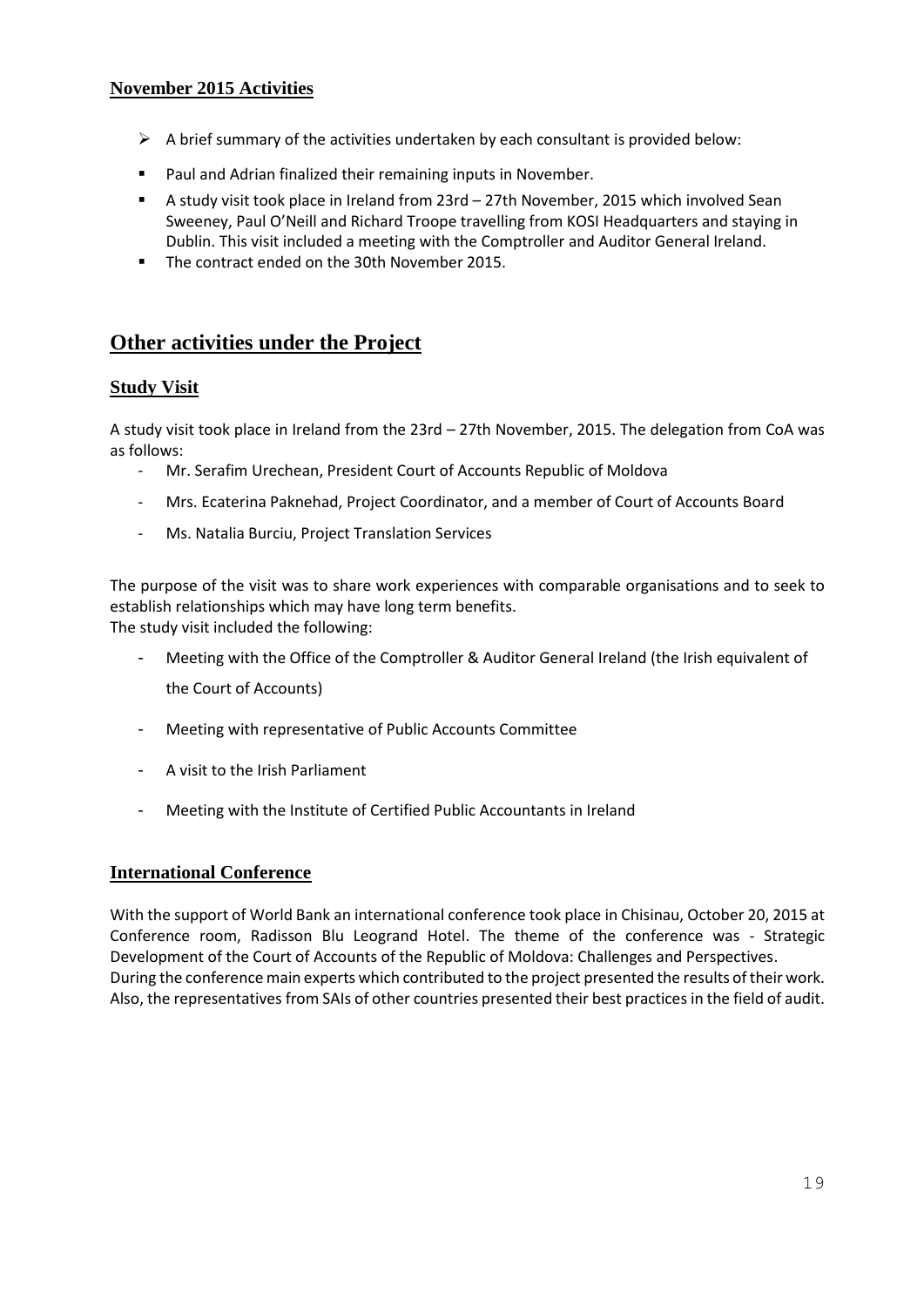## **November 2015 Activities**

- $\triangleright$  A brief summary of the activities undertaken by each consultant is provided below:
- Paul and Adrian finalized their remaining inputs in November.
- A study visit took place in Ireland from 23rd 27th November, 2015 which involved Sean Sweeney, Paul O'Neill and Richard Troope travelling from KOSI Headquarters and staying in Dublin. This visit included a meeting with the Comptroller and Auditor General Ireland.
- The contract ended on the 30th November 2015.

## **Other activities under the Project**

#### **Study Visit**

A study visit took place in Ireland from the 23rd – 27th November, 2015. The delegation from CoA was as follows:

- Mr. Serafim Urechean, President Court of Accounts Republic of Moldova
- Mrs. Ecaterina Paknehad, Project Coordinator, and a member of Court of Accounts Board
- Ms. Natalia Burciu, Project Translation Services

The purpose of the visit was to share work experiences with comparable organisations and to seek to establish relationships which may have long term benefits. The study visit included the following:

- Meeting with the Office of the Comptroller & Auditor General Ireland (the Irish equivalent of the Court of Accounts)
- Meeting with representative of Public Accounts Committee
- A visit to the Irish Parliament
- Meeting with the Institute of Certified Public Accountants in Ireland

#### **International Conference**

With the support of World Bank an international conference took place in Chisinau, October 20, 2015 at Conference room, Radisson Blu Leogrand Hotel. The theme of the conference was - Strategic Development of the Court of Accounts of the Republic of Moldova: Challenges and Perspectives. During the conference main experts which contributed to the project presented the results of their work. Also, the representatives from SAIs of other countries presented their best practices in the field of audit.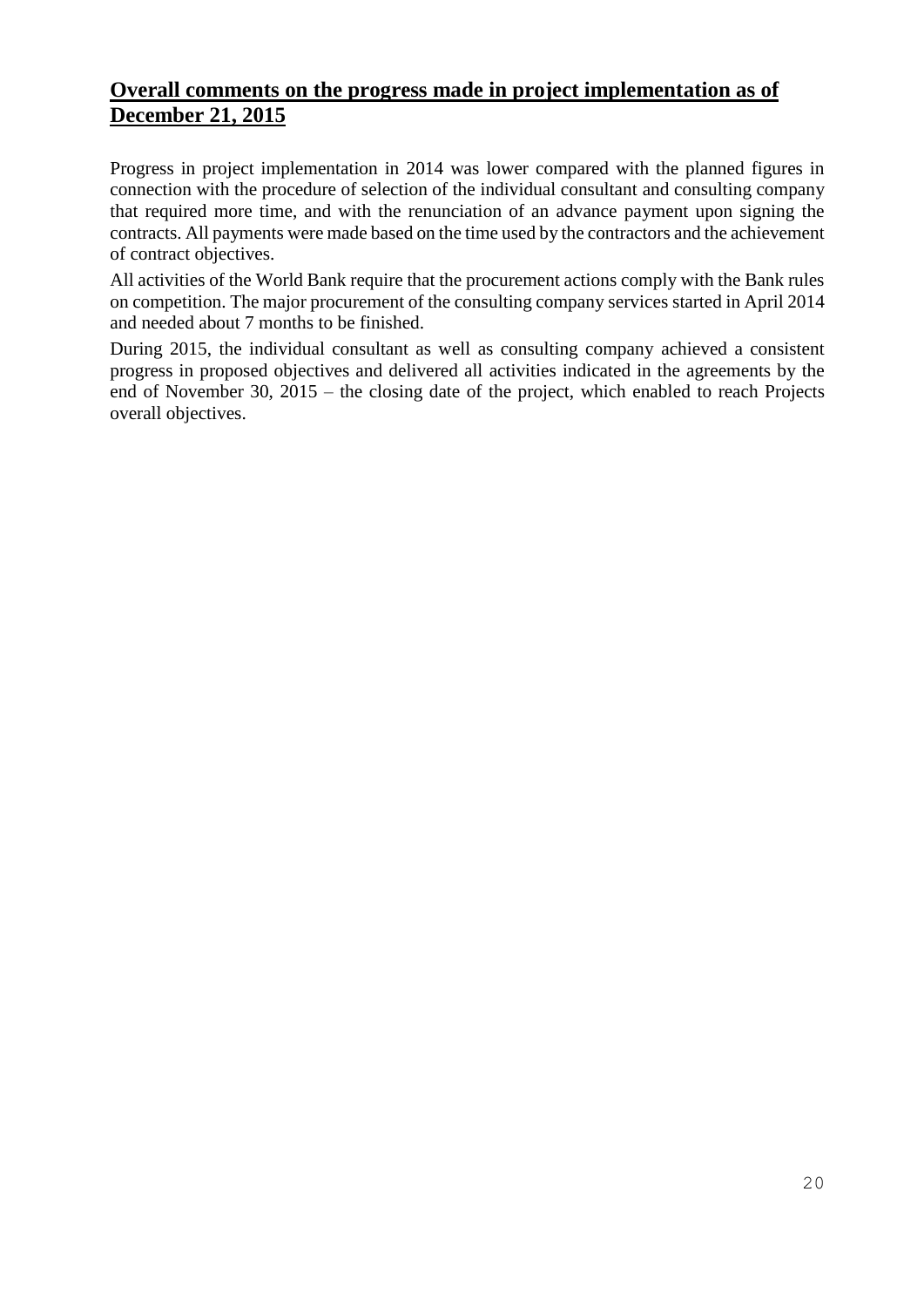## **Overall comments on the progress made in project implementation as of December 21, 2015**

Progress in project implementation in 2014 was lower compared with the planned figures in connection with the procedure of selection of the individual consultant and consulting company that required more time, and with the renunciation of an advance payment upon signing the contracts. All payments were made based on the time used by the contractors and the achievement of contract objectives.

All activities of the World Bank require that the procurement actions comply with the Bank rules on competition. The major procurement of the consulting company services started in April 2014 and needed about 7 months to be finished.

During 2015, the individual consultant as well as consulting company achieved a consistent progress in proposed objectives and delivered all activities indicated in the agreements by the end of November 30, 2015 – the closing date of the project, which enabled to reach Projects overall objectives.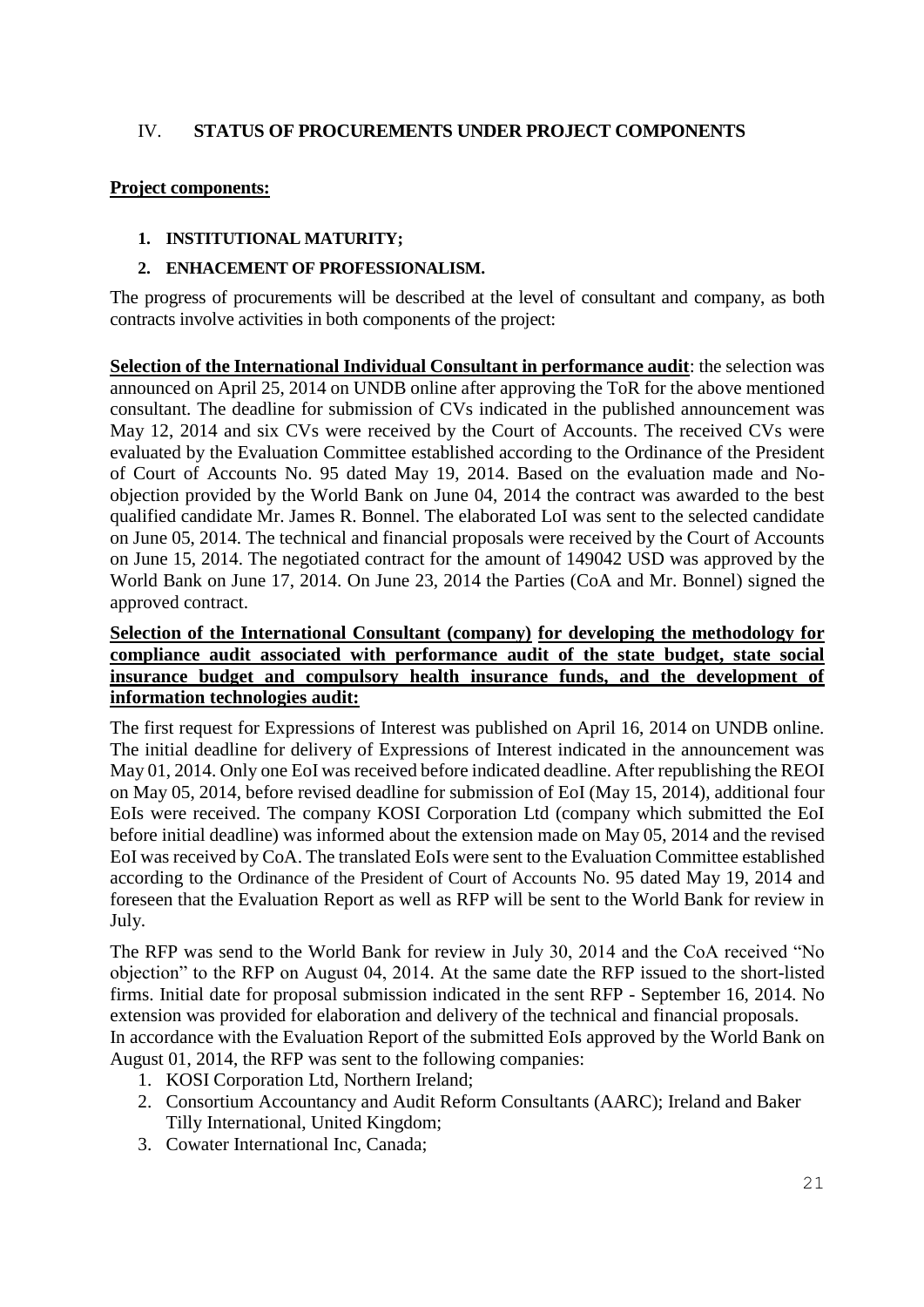## IV. **STATUS OF PROCUREMENTS UNDER PROJECT COMPONENTS**

#### **Project components:**

#### **1. INSTITUTIONAL MATURITY;**

#### **2. ENHACEMENT OF PROFESSIONALISM.**

The progress of procurements will be described at the level of consultant and company, as both contracts involve activities in both components of the project:

**Selection of the International Individual Consultant in performance audit**: the selection was announced on April 25, 2014 on UNDB online after approving the ToR for the above mentioned consultant. The deadline for submission of CVs indicated in the published announcement was May 12, 2014 and six CVs were received by the Court of Accounts. The received CVs were evaluated by the Evaluation Committee established according to the Ordinance of the President of Court of Accounts No. 95 dated May 19, 2014. Based on the evaluation made and Noobjection provided by the World Bank on June 04, 2014 the contract was awarded to the best qualified candidate Mr. James R. Bonnel. The elaborated LoI was sent to the selected candidate on June 05, 2014. The technical and financial proposals were received by the Court of Accounts on June 15, 2014. The negotiated contract for the amount of 149042 USD was approved by the World Bank on June 17, 2014. On June 23, 2014 the Parties (CoA and Mr. Bonnel) signed the approved contract.

## **Selection of the International Consultant (company) for developing the methodology for compliance audit associated with performance audit of the state budget, state social insurance budget and compulsory health insurance funds, and the development of information technologies audit:**

The first request for Expressions of Interest was published on April 16, 2014 on UNDB online. The initial deadline for delivery of Expressions of Interest indicated in the announcement was May 01, 2014. Only one EoI was received before indicated deadline. After republishing the REOI on May 05, 2014, before revised deadline for submission of EoI (May 15, 2014), additional four EoIs were received. The company KOSI Corporation Ltd (company which submitted the EoI before initial deadline) was informed about the extension made on May 05, 2014 and the revised EoI was received by CoA. The translated EoIs were sent to the Evaluation Committee established according to the Ordinance of the President of Court of Accounts No. 95 dated May 19, 2014 and foreseen that the Evaluation Report as well as RFP will be sent to the World Bank for review in July.

The RFP was send to the World Bank for review in July 30, 2014 and the CoA received "No objection" to the RFP on August 04, 2014. At the same date the RFP issued to the short-listed firms. Initial date for proposal submission indicated in the sent RFP - September 16, 2014. No extension was provided for elaboration and delivery of the technical and financial proposals. In accordance with the Evaluation Report of the submitted EoIs approved by the World Bank on August 01, 2014, the RFP was sent to the following companies:

- 1. KOSI Corporation Ltd, Northern Ireland;
- 2. Consortium Accountancy and Audit Reform Consultants (AARC); Ireland and Baker Tilly International, United Kingdom;
- 3. Cowater International Inc, Canada;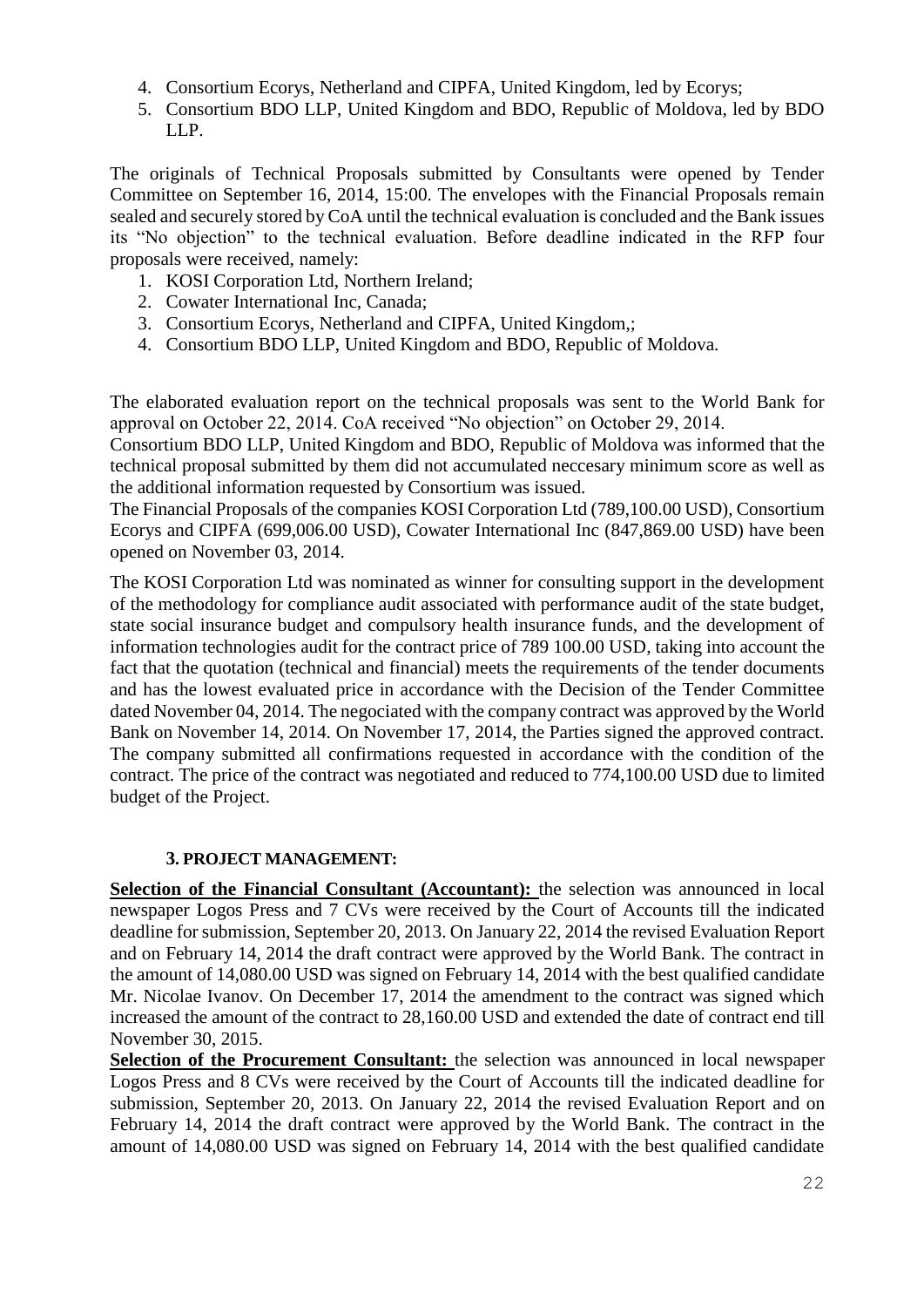- 4. Consortium Ecorys, Netherland and CIPFA, United Kingdom, led by Ecorys;
- 5. Consortium BDO LLP, United Kingdom and BDO, Republic of Moldova, led by BDO LLP.

The originals of Technical Proposals submitted by Consultants were opened by Tender Committee on September 16, 2014, 15:00. The envelopes with the Financial Proposals remain sealed and securely stored by CoA until the technical evaluation is concluded and the Bank issues its "No objection" to the technical evaluation. Before deadline indicated in the RFP four proposals were received, namely:

- 1. KOSI Corporation Ltd, Northern Ireland;
- 2. Cowater International Inc, Canada;
- 3. Consortium Ecorys, Netherland and CIPFA, United Kingdom,;
- 4. Consortium BDO LLP, United Kingdom and BDO, Republic of Moldova.

The elaborated evaluation report on the technical proposals was sent to the World Bank for approval on October 22, 2014. CoA received "No objection" on October 29, 2014.

Consortium BDO LLP, United Kingdom and BDO, Republic of Moldova was informed that the technical proposal submitted by them did not accumulated neccesary minimum score as well as the additional information requested by Consortium was issued.

The Financial Proposals of the companies KOSI Corporation Ltd (789,100.00 USD), Consortium Ecorys and CIPFA (699,006.00 USD), Cowater International Inc (847,869.00 USD) have been opened on November 03, 2014.

The KOSI Corporation Ltd was nominated as winner for consulting support in the development of the methodology for compliance audit associated with performance audit of the state budget, state social insurance budget and compulsory health insurance funds, and the development of information technologies audit for the contract price of 789 100.00 USD, taking into account the fact that the quotation (technical and financial) meets the requirements of the tender documents and has the lowest evaluated price in accordance with the Decision of the Tender Committee dated November 04, 2014. The negociated with the company contract was approved by the World Bank on November 14, 2014. On November 17, 2014, the Parties signed the approved contract. The company submitted all confirmations requested in accordance with the condition of the contract. The price of the contract was negotiated and reduced to 774,100.00 USD due to limited budget of the Project.

#### **3. PROJECT MANAGEMENT:**

**Selection of the Financial Consultant (Accountant):** the selection was announced in local newspaper Logos Press and 7 CVs were received by the Court of Accounts till the indicated deadline for submission, September 20, 2013. On January 22, 2014 the revised Evaluation Report and on February 14, 2014 the draft contract were approved by the World Bank. The contract in the amount of 14,080.00 USD was signed on February 14, 2014 with the best qualified candidate Mr. Nicolae Ivanov. On December 17, 2014 the amendment to the contract was signed which increased the amount of the contract to 28,160.00 USD and extended the date of contract end till November 30, 2015.

**Selection of the Procurement Consultant:** the selection was announced in local newspaper Logos Press and 8 CVs were received by the Court of Accounts till the indicated deadline for submission, September 20, 2013. On January 22, 2014 the revised Evaluation Report and on February 14, 2014 the draft contract were approved by the World Bank. The contract in the amount of 14,080.00 USD was signed on February 14, 2014 with the best qualified candidate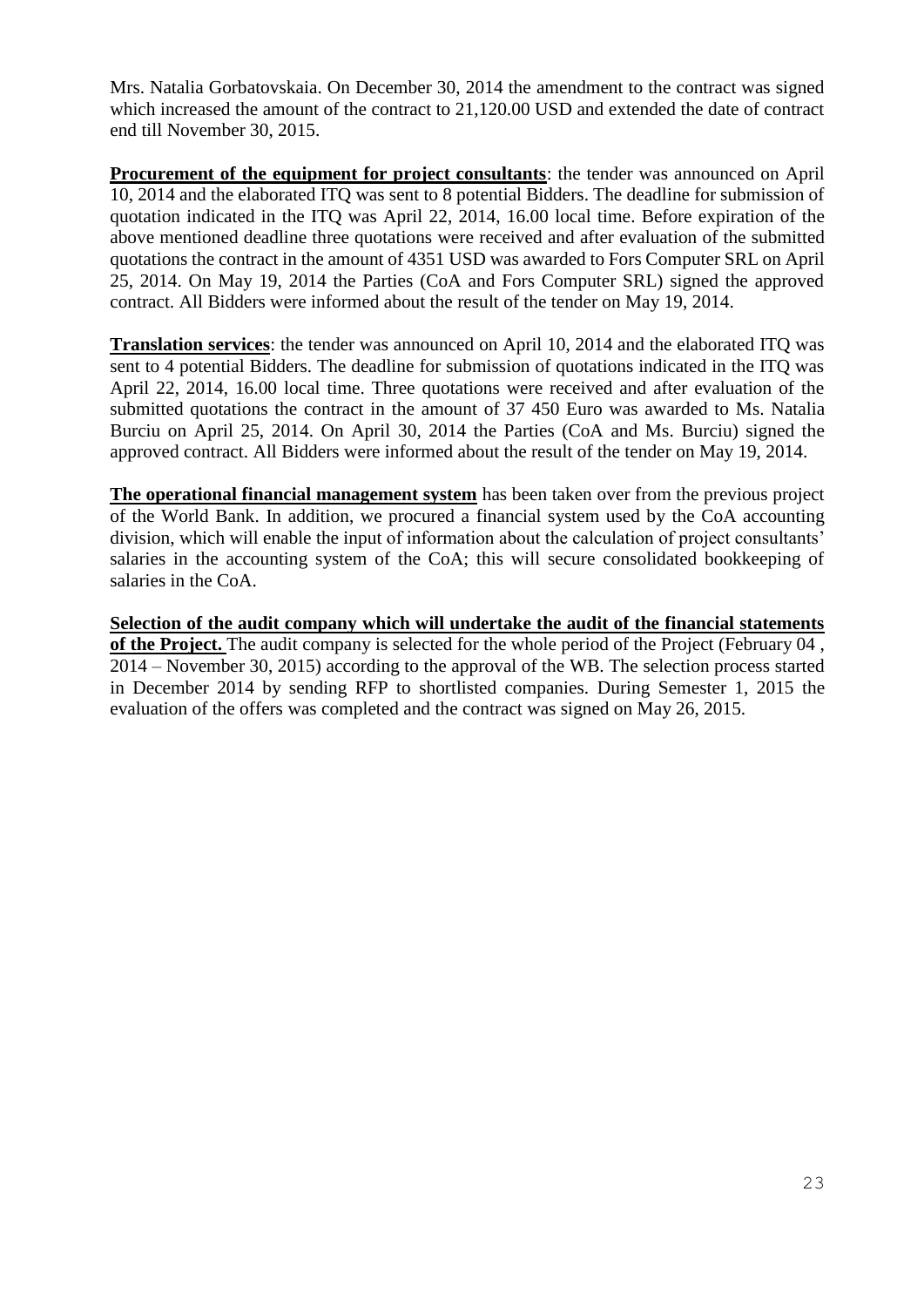Mrs. Natalia Gorbatovskaia. On December 30, 2014 the amendment to the contract was signed which increased the amount of the contract to 21,120.00 USD and extended the date of contract end till November 30, 2015.

**Procurement of the equipment for project consultants**: the tender was announced on April 10, 2014 and the elaborated ITQ was sent to 8 potential Bidders. The deadline for submission of quotation indicated in the ITQ was April 22, 2014, 16.00 local time. Before expiration of the above mentioned deadline three quotations were received and after evaluation of the submitted quotations the contract in the amount of 4351 USD was awarded to Fors Computer SRL on April 25, 2014. On May 19, 2014 the Parties (CoA and Fors Computer SRL) signed the approved contract. All Bidders were informed about the result of the tender on May 19, 2014.

**Translation services**: the tender was announced on April 10, 2014 and the elaborated ITQ was sent to 4 potential Bidders. The deadline for submission of quotations indicated in the ITQ was April 22, 2014, 16.00 local time. Three quotations were received and after evaluation of the submitted quotations the contract in the amount of 37 450 Euro was awarded to Ms. Natalia Burciu on April 25, 2014. On April 30, 2014 the Parties (CoA and Ms. Burciu) signed the approved contract. All Bidders were informed about the result of the tender on May 19, 2014.

**The operational financial management system** has been taken over from the previous project of the World Bank. In addition, we procured a financial system used by the CoA accounting division, which will enable the input of information about the calculation of project consultants' salaries in the accounting system of the CoA; this will secure consolidated bookkeeping of salaries in the CoA.

**Selection of the audit company which will undertake the audit of the financial statements of the Project.** The audit company is selected for the whole period of the Project (February 04, 2014 – November 30, 2015) according to the approval of the WB. The selection process started in December 2014 by sending RFP to shortlisted companies. During Semester 1, 2015 the evaluation of the offers was completed and the contract was signed on May 26, 2015.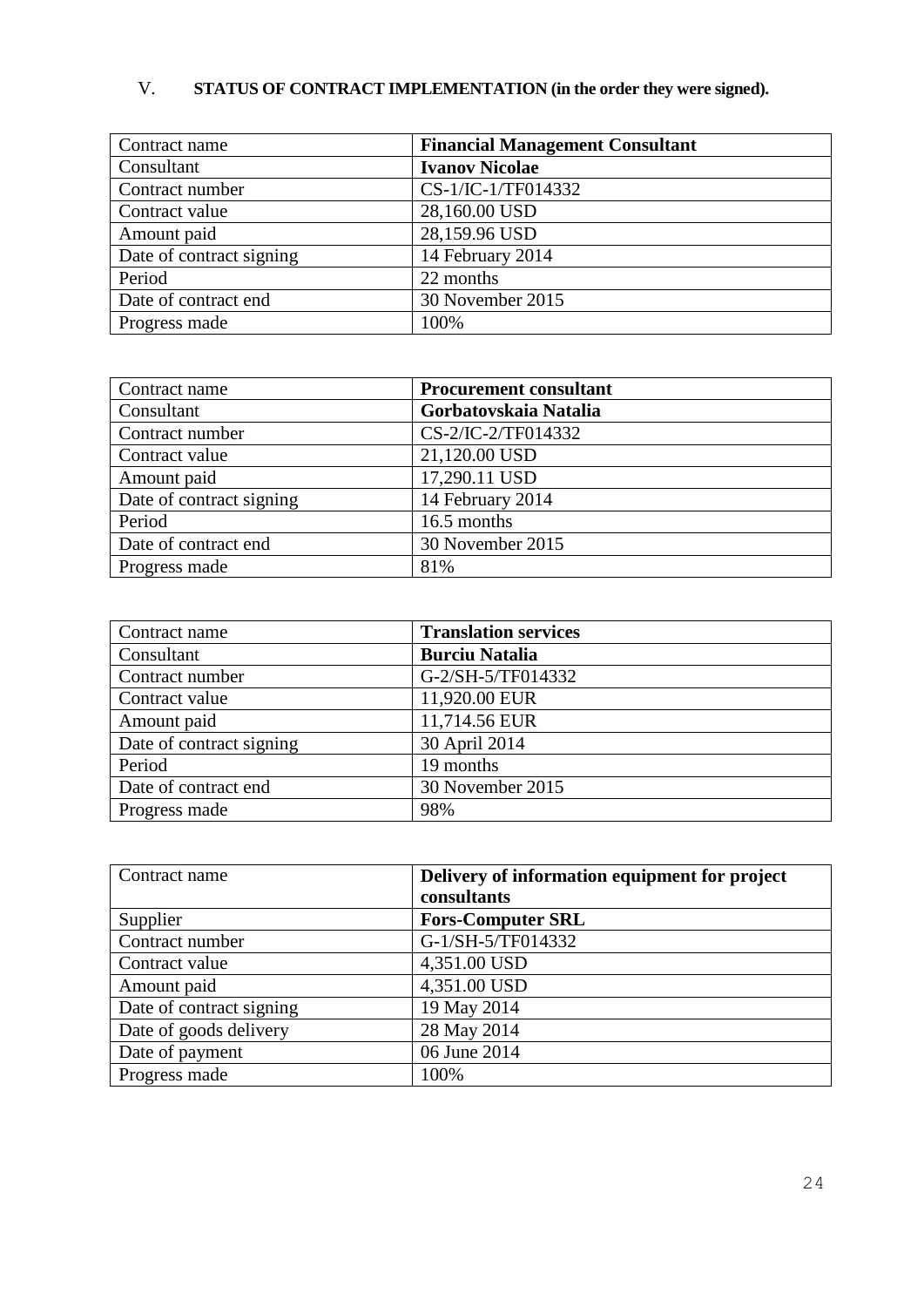# V. **STATUS OF CONTRACT IMPLEMENTATION (in the order they were signed).**

| Contract name            | <b>Financial Management Consultant</b> |
|--------------------------|----------------------------------------|
| Consultant               | <b>Ivanov Nicolae</b>                  |
| Contract number          | CS-1/IC-1/TF014332                     |
| Contract value           | 28,160.00 USD                          |
| Amount paid              | 28,159.96 USD                          |
| Date of contract signing | 14 February 2014                       |
| Period                   | 22 months                              |
| Date of contract end     | 30 November 2015                       |
| Progress made            | 100%                                   |

| Contract name            | <b>Procurement consultant</b> |
|--------------------------|-------------------------------|
| Consultant               | Gorbatovskaia Natalia         |
| Contract number          | CS-2/IC-2/TF014332            |
| Contract value           | 21,120.00 USD                 |
| Amount paid              | 17,290.11 USD                 |
| Date of contract signing | 14 February 2014              |
| Period                   | 16.5 months                   |
| Date of contract end     | 30 November 2015              |
| Progress made            | 81%                           |

| Contract name            | <b>Translation services</b> |
|--------------------------|-----------------------------|
| Consultant               | <b>Burciu Natalia</b>       |
| Contract number          | G-2/SH-5/TF014332           |
| Contract value           | 11,920.00 EUR               |
| Amount paid              | 11,714.56 EUR               |
| Date of contract signing | 30 April 2014               |
| Period                   | 19 months                   |
| Date of contract end     | 30 November 2015            |
| Progress made            | 98%                         |

| Contract name            | Delivery of information equipment for project<br>consultants |
|--------------------------|--------------------------------------------------------------|
| Supplier                 | <b>Fors-Computer SRL</b>                                     |
| Contract number          | G-1/SH-5/TF014332                                            |
| Contract value           | 4,351.00 USD                                                 |
| Amount paid              | 4,351.00 USD                                                 |
| Date of contract signing | 19 May 2014                                                  |
| Date of goods delivery   | 28 May 2014                                                  |
| Date of payment          | 06 June 2014                                                 |
| Progress made            | 100%                                                         |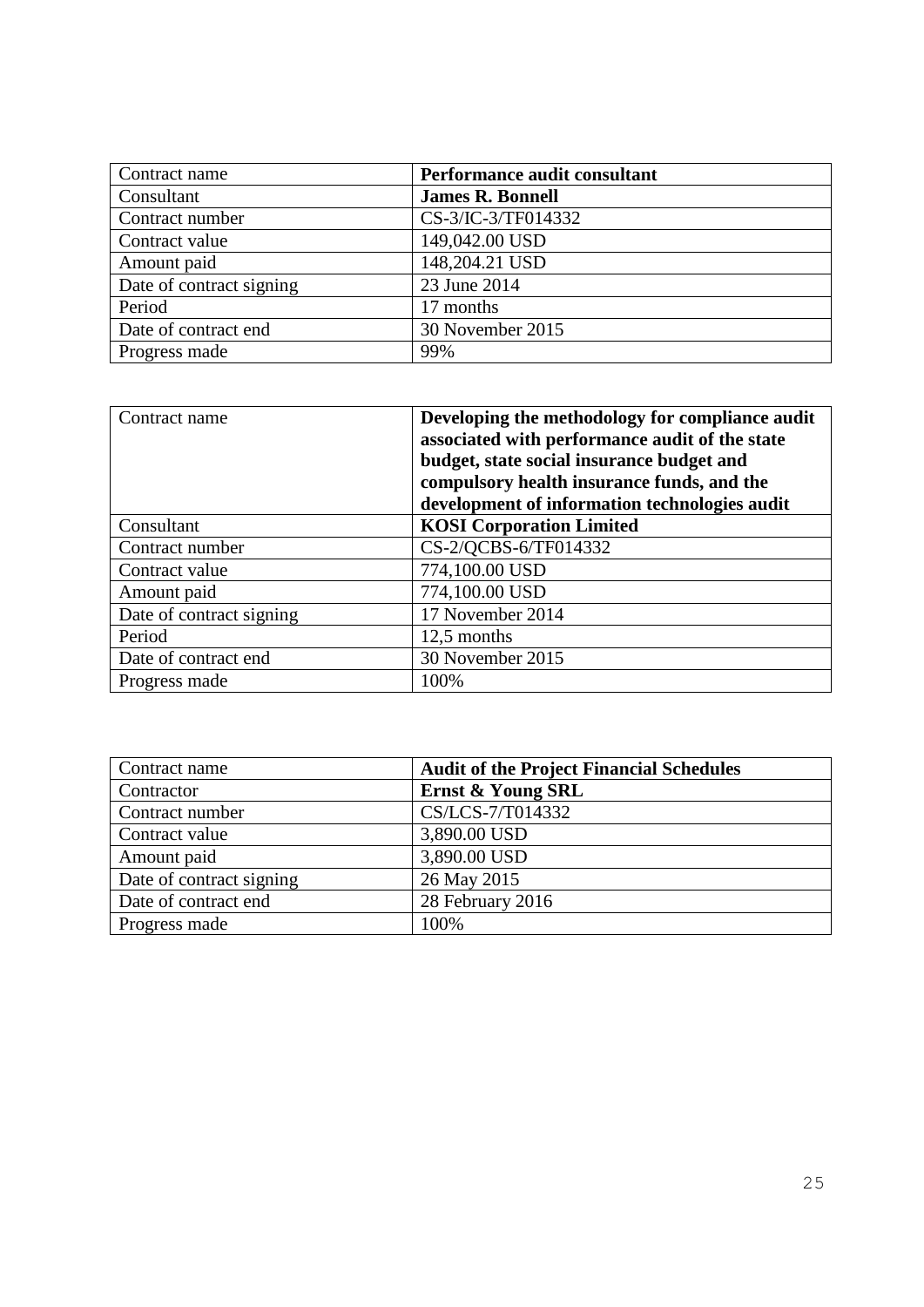| Contract name            | Performance audit consultant |
|--------------------------|------------------------------|
| Consultant               | <b>James R. Bonnell</b>      |
| Contract number          | CS-3/IC-3/TF014332           |
| Contract value           | 149,042.00 USD               |
| Amount paid              | 148,204.21 USD               |
| Date of contract signing | 23 June 2014                 |
| Period                   | 17 months                    |
| Date of contract end     | 30 November 2015             |
| Progress made            | 99%                          |

| Contract name            | Developing the methodology for compliance audit<br>associated with performance audit of the state<br>budget, state social insurance budget and<br>compulsory health insurance funds, and the<br>development of information technologies audit |
|--------------------------|-----------------------------------------------------------------------------------------------------------------------------------------------------------------------------------------------------------------------------------------------|
| Consultant               | <b>KOSI</b> Corporation Limited                                                                                                                                                                                                               |
| Contract number          | CS-2/QCBS-6/TF014332                                                                                                                                                                                                                          |
| Contract value           | 774,100.00 USD                                                                                                                                                                                                                                |
| Amount paid              | 774,100.00 USD                                                                                                                                                                                                                                |
| Date of contract signing | 17 November 2014                                                                                                                                                                                                                              |
| Period                   | 12,5 months                                                                                                                                                                                                                                   |
| Date of contract end     | 30 November 2015                                                                                                                                                                                                                              |
| Progress made            | 100%                                                                                                                                                                                                                                          |

| Contract name            | <b>Audit of the Project Financial Schedules</b> |
|--------------------------|-------------------------------------------------|
| Contractor               | Ernst & Young SRL                               |
| Contract number          | CS/LCS-7/T014332                                |
| Contract value           | 3,890.00 USD                                    |
| Amount paid              | 3,890.00 USD                                    |
| Date of contract signing | 26 May 2015                                     |
| Date of contract end     | 28 February 2016                                |
| Progress made            | 100%                                            |